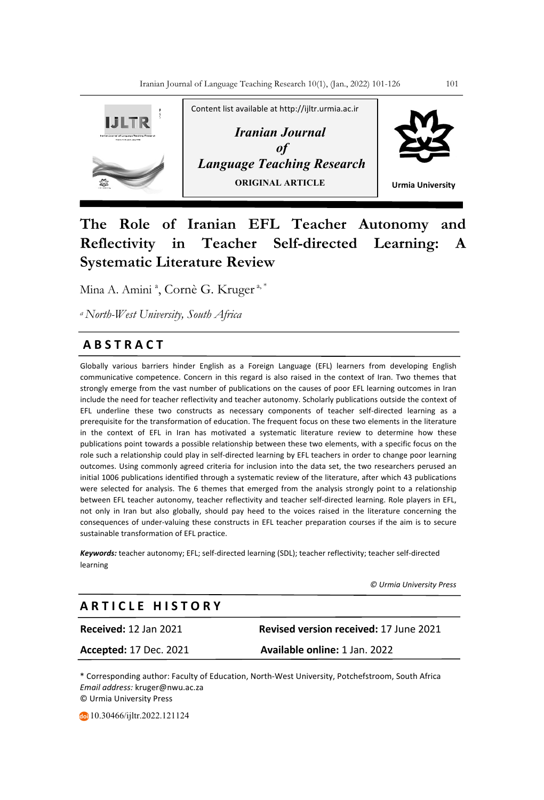

# **The Role of Iranian EFL Teacher Autonomy and Reflectivity in Teacher Self-directed Learning: A Systematic Literature Review**

Mina A. Amini <sup>a</sup>, Cornè G. Kruger <sup>a, \*</sup>

*a North-West University, South Africa*

## **A B S T R A C T**

Globally various barriers hinder English as a Foreign Language (EFL) learners from developing English communicative competence. Concern in this regard is also raised in the context of Iran. Two themes that strongly emerge from the vast number of publications on the causes of poor EFL learning outcomes in Iran include the need for teacher reflectivity and teacher autonomy. Scholarly publications outside the context of EFL underline these two constructs as necessary components of teacher self-directed learning as a prerequisite for the transformation of education. The frequent focus on these two elements in the literature in the context of EFL in Iran has motivated a systematic literature review to determine how these publications point towards a possible relationship between these two elements, with a specific focus on the role such a relationship could play in self-directed learning by EFL teachers in order to change poor learning outcomes. Using commonly agreed criteria for inclusion into the data set, the two researchers perused an initial 1006 publications identified through a systematic review of the literature, after which 43 publications were selected for analysis. The 6 themes that emerged from the analysis strongly point to a relationship between EFL teacher autonomy, teacher reflectivity and teacher self-directed learning. Role players in EFL, not only in Iran but also globally, should pay heed to the voices raised in the literature concerning the consequences of under-valuing these constructs in EFL teacher preparation courses if the aim is to secure sustainable transformation of EFL practice.

*Keywords:* teacher autonomy; EFL; self-directed learning (SDL); teacher reflectivity; teacher self-directed learning

 *© Urmia University Press*

## **A R T I C L E H I S T O R Y**

**Received:** 12 Jan 2021 **Revised version received:** 17 June 2021 **Accepted:** 17 Dec. 2021 **Available online:** 1 Jan. 2022

\* Corresponding author: Faculty of Education, North-West University, Potchefstroom, South Africa *Email address:* kruger@nwu.ac.za © Urmia University Press

10.30466/ijltr.2022.121124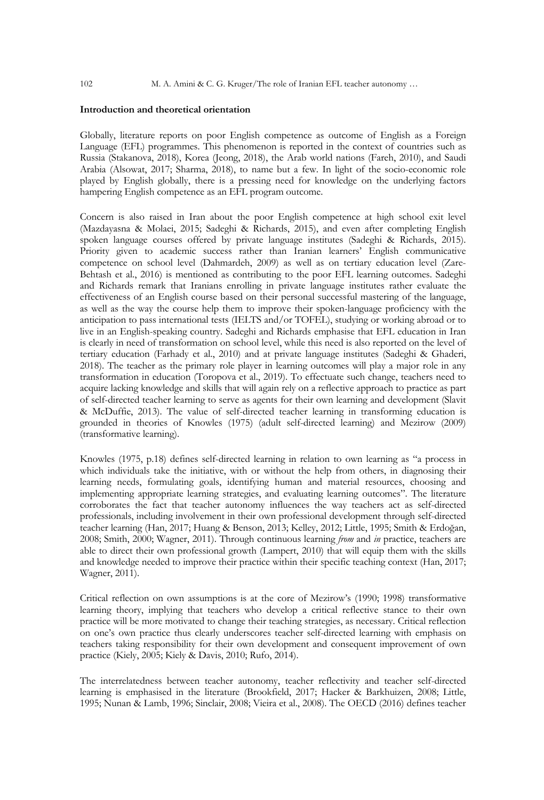102 M. A. Amini & C. G. Kruger/The role of Iranian EFL teacher autonomy …

### **Introduction and theoretical orientation**

Globally, literature reports on poor English competence as outcome of English as a Foreign Language (EFL) programmes. This phenomenon is reported in the context of countries such as Russia (Stakanova, 2018), Korea (Jeong, 2018), the Arab world nations (Fareh, 2010), and Saudi Arabia (Alsowat, 2017; Sharma, 2018), to name but a few. In light of the socio-economic role played by English globally, there is a pressing need for knowledge on the underlying factors hampering English competence as an EFL program outcome.

Concern is also raised in Iran about the poor English competence at high school exit level (Mazdayasna & Molaei, 2015; Sadeghi & Richards, 2015), and even after completing English spoken language courses offered by private language institutes (Sadeghi & Richards, 2015). Priority given to academic success rather than Iranian learners' English communicative competence on school level (Dahmardeh, 2009) as well as on tertiary education level (Zare-Behtash et al., 2016) is mentioned as contributing to the poor EFL learning outcomes. Sadeghi and Richards remark that Iranians enrolling in private language institutes rather evaluate the effectiveness of an English course based on their personal successful mastering of the language, as well as the way the course help them to improve their spoken-language proficiency with the anticipation to pass international tests (IELTS and/or TOFEL), studying or working abroad or to live in an English-speaking country. Sadeghi and Richards emphasise that EFL education in Iran is clearly in need of transformation on school level, while this need is also reported on the level of tertiary education (Farhady et al., 2010) and at private language institutes (Sadeghi & Ghaderi, 2018). The teacher as the primary role player in learning outcomes will play a major role in any transformation in education (Toropova et al., 2019). To effectuate such change, teachers need to acquire lacking knowledge and skills that will again rely on a reflective approach to practice as part of self-directed teacher learning to serve as agents for their own learning and development (Slavit & McDuffie, 2013). The value of self-directed teacher learning in transforming education is grounded in theories of Knowles (1975) (adult self-directed learning) and Mezirow (2009) (transformative learning).

Knowles (1975, p.18) defines self-directed learning in relation to own learning as "a process in which individuals take the initiative, with or without the help from others, in diagnosing their learning needs, formulating goals, identifying human and material resources, choosing and implementing appropriate learning strategies, and evaluating learning outcomes". The literature corroborates the fact that teacher autonomy influences the way teachers act as self-directed professionals, including involvement in their own professional development through self-directed teacher learning (Han, 2017; Huang & Benson, 2013; Kelley, 2012; Little, 1995; Smith & Erdoğan, 2008; Smith, 2000; Wagner, 2011). Through continuous learning *from* and *in* practice, teachers are able to direct their own professional growth (Lampert, 2010) that will equip them with the skills and knowledge needed to improve their practice within their specific teaching context (Han, 2017; Wagner, 2011).

Critical reflection on own assumptions is at the core of Mezirow's (1990; 1998) transformative learning theory, implying that teachers who develop a critical reflective stance to their own practice will be more motivated to change their teaching strategies, as necessary. Critical reflection on one's own practice thus clearly underscores teacher self-directed learning with emphasis on teachers taking responsibility for their own development and consequent improvement of own practice (Kiely, 2005; Kiely & Davis, 2010; Rufo, 2014).

The interrelatedness between teacher autonomy, teacher reflectivity and teacher self-directed learning is emphasised in the literature (Brookfield, 2017; Hacker & Barkhuizen, 2008; Little, 1995; Nunan & Lamb, 1996; Sinclair, 2008; Vieira et al., 2008). The OECD (2016) defines teacher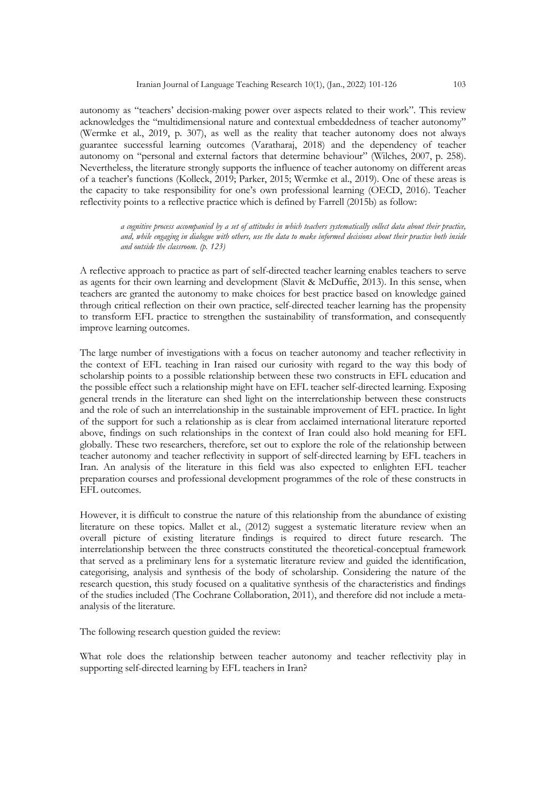autonomy as "teachers' decision-making power over aspects related to their work". This review acknowledges the "multidimensional nature and contextual embeddedness of teacher autonomy" (Wermke et al., 2019, p. 307), as well as the reality that teacher autonomy does not always guarantee successful learning outcomes (Varatharaj, 2018) and the dependency of teacher autonomy on "personal and external factors that determine behaviour" (Wilches, 2007, p. 258). Nevertheless, the literature strongly supports the influence of teacher autonomy on different areas of a teacher's functions (Kolleck, 2019; Parker, 2015; Wermke et al., 2019). One of these areas is the capacity to take responsibility for one's own professional learning (OECD, 2016). Teacher reflectivity points to a reflective practice which is defined by Farrell (2015b) as follow:

> *a cognitive process accompanied by a set of attitudes in which teachers systematically collect data about their practice, and, while engaging in dialogue with others, use the data to make informed decisions about their practice both inside and outside the classroom. (p. 123)*

A reflective approach to practice as part of self-directed teacher learning enables teachers to serve as agents for their own learning and development (Slavit & McDuffie, 2013). In this sense, when teachers are granted the autonomy to make choices for best practice based on knowledge gained through critical reflection on their own practice, self-directed teacher learning has the propensity to transform EFL practice to strengthen the sustainability of transformation, and consequently improve learning outcomes.

The large number of investigations with a focus on teacher autonomy and teacher reflectivity in the context of EFL teaching in Iran raised our curiosity with regard to the way this body of scholarship points to a possible relationship between these two constructs in EFL education and the possible effect such a relationship might have on EFL teacher self-directed learning. Exposing general trends in the literature can shed light on the interrelationship between these constructs and the role of such an interrelationship in the sustainable improvement of EFL practice. In light of the support for such a relationship as is clear from acclaimed international literature reported above, findings on such relationships in the context of Iran could also hold meaning for EFL globally. These two researchers, therefore, set out to explore the role of the relationship between teacher autonomy and teacher reflectivity in support of self-directed learning by EFL teachers in Iran. An analysis of the literature in this field was also expected to enlighten EFL teacher preparation courses and professional development programmes of the role of these constructs in EFL outcomes.

However, it is difficult to construe the nature of this relationship from the abundance of existing literature on these topics. Mallet et al., (2012) suggest a systematic literature review when an overall picture of existing literature findings is required to direct future research. The interrelationship between the three constructs constituted the theoretical-conceptual framework that served as a preliminary lens for a systematic literature review and guided the identification, categorising, analysis and synthesis of the body of scholarship. Considering the nature of the research question, this study focused on a qualitative synthesis of the characteristics and findings of the studies included (The Cochrane Collaboration, 2011), and therefore did not include a metaanalysis of the literature.

The following research question guided the review:

What role does the relationship between teacher autonomy and teacher reflectivity play in supporting self-directed learning by EFL teachers in Iran?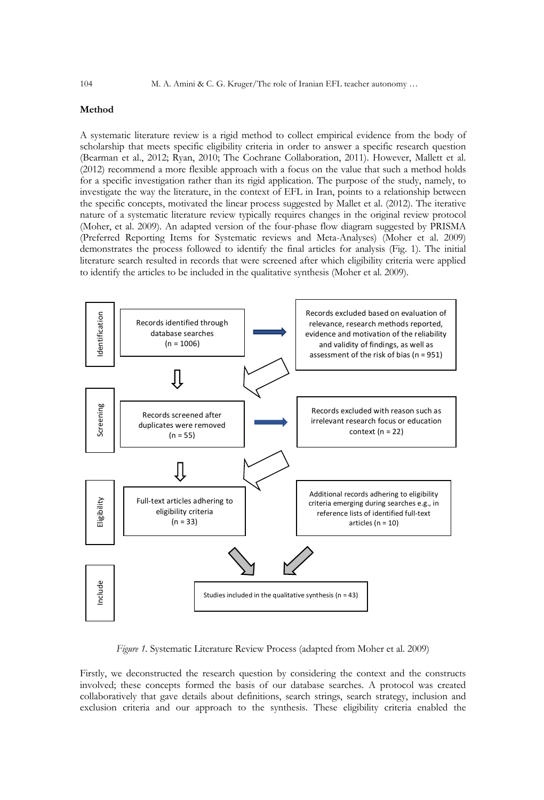## **Method**

A systematic literature review is a rigid method to collect empirical evidence from the body of scholarship that meets specific eligibility criteria in order to answer a specific research question (Bearman et al., 2012; Ryan, 2010; The Cochrane Collaboration, 2011). However, Mallett et al. (2012) recommend a more flexible approach with a focus on the value that such a method holds for a specific investigation rather than its rigid application. The purpose of the study, namely, to investigate the way the literature, in the context of EFL in Iran, points to a relationship between the specific concepts, motivated the linear process suggested by Mallet et al. (2012). The iterative nature of a systematic literature review typically requires changes in the original review protocol (Moher, et al. 2009). An adapted version of the four-phase flow diagram suggested by PRISMA (Preferred Reporting Items for Systematic reviews and Meta-Analyses) (Moher et al. 2009) demonstrates the process followed to identify the final articles for analysis (Fig. 1). The initial literature search resulted in records that were screened after which eligibility criteria were applied to identify the articles to be included in the qualitative synthesis (Moher et al. 2009).



*Figure 1.* Systematic Literature Review Process (adapted from Moher et al. 2009)

Firstly, we deconstructed the research question by considering the context and the constructs involved; these concepts formed the basis of our database searches. A protocol was created collaboratively that gave details about definitions, search strings, search strategy, inclusion and exclusion criteria and our approach to the synthesis. These eligibility criteria enabled the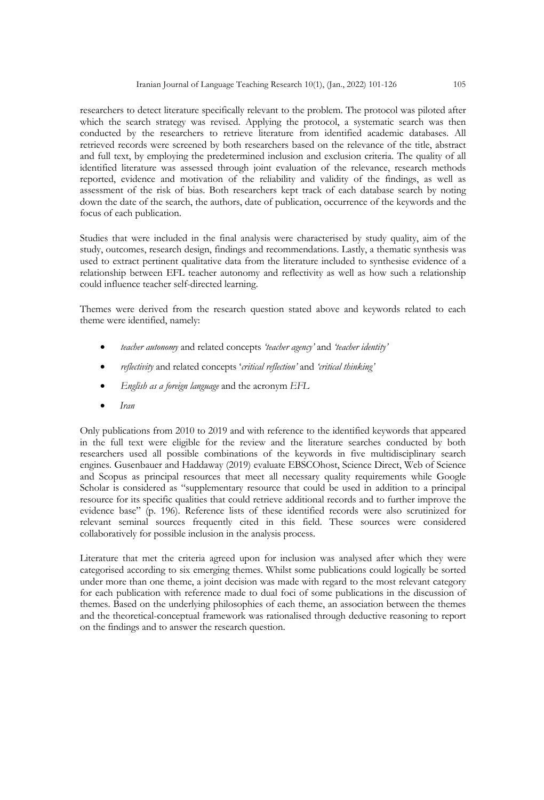researchers to detect literature specifically relevant to the problem. The protocol was piloted after which the search strategy was revised. Applying the protocol, a systematic search was then conducted by the researchers to retrieve literature from identified academic databases. All retrieved records were screened by both researchers based on the relevance of the title, abstract and full text, by employing the predetermined inclusion and exclusion criteria. The quality of all identified literature was assessed through joint evaluation of the relevance, research methods reported, evidence and motivation of the reliability and validity of the findings, as well as assessment of the risk of bias. Both researchers kept track of each database search by noting down the date of the search, the authors, date of publication, occurrence of the keywords and the focus of each publication.

Studies that were included in the final analysis were characterised by study quality, aim of the study, outcomes, research design, findings and recommendations. Lastly, a thematic synthesis was used to extract pertinent qualitative data from the literature included to synthesise evidence of a relationship between EFL teacher autonomy and reflectivity as well as how such a relationship could influence teacher self-directed learning.

Themes were derived from the research question stated above and keywords related to each theme were identified, namely:

- *teacher autonomy* and related concepts *'teacher agency'* and *'teacher identity'*
- *reflectivity* and related concepts '*critical reflection'* and *'critical thinking'*
- *English as a foreign language* and the acronym *EFL*
- *Iran*

Only publications from 2010 to 2019 and with reference to the identified keywords that appeared in the full text were eligible for the review and the literature searches conducted by both researchers used all possible combinations of the keywords in five multidisciplinary search engines. Gusenbauer and Haddaway (2019) evaluate EBSCOhost, Science Direct, Web of Science and Scopus as principal resources that meet all necessary quality requirements while Google Scholar is considered as "supplementary resource that could be used in addition to a principal resource for its specific qualities that could retrieve additional records and to further improve the evidence base" (p. 196). Reference lists of these identified records were also scrutinized for relevant seminal sources frequently cited in this field. These sources were considered collaboratively for possible inclusion in the analysis process.

Literature that met the criteria agreed upon for inclusion was analysed after which they were categorised according to six emerging themes. Whilst some publications could logically be sorted under more than one theme, a joint decision was made with regard to the most relevant category for each publication with reference made to dual foci of some publications in the discussion of themes. Based on the underlying philosophies of each theme, an association between the themes and the theoretical-conceptual framework was rationalised through deductive reasoning to report on the findings and to answer the research question.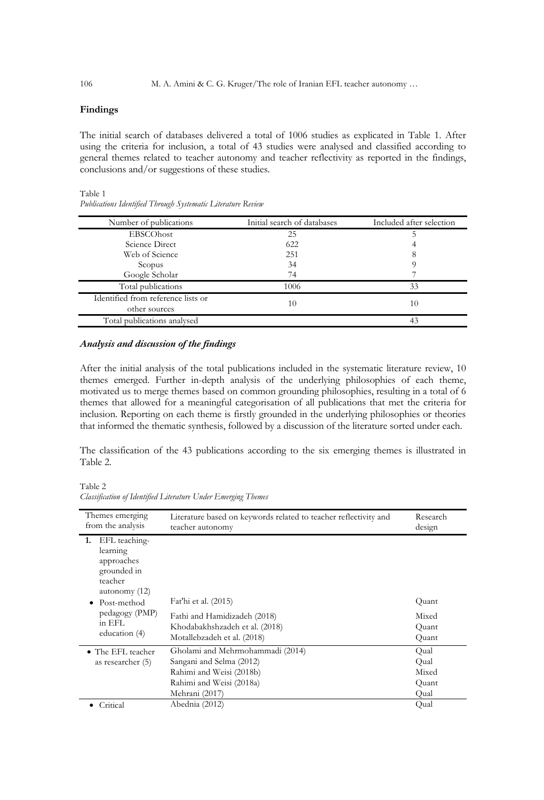## **Findings**

The initial search of databases delivered a total of 1006 studies as explicated in Table 1. After using the criteria for inclusion, a total of 43 studies were analysed and classified according to general themes related to teacher autonomy and teacher reflectivity as reported in the findings, conclusions and/or suggestions of these studies.

Table 1

| Number of publications                              | Initial search of databases | Included after selection |
|-----------------------------------------------------|-----------------------------|--------------------------|
| EBSCOhost                                           | 25                          |                          |
| Science Direct                                      | 622                         |                          |
| Web of Science                                      | 251                         | 8                        |
| Scopus                                              | 34                          |                          |
| Google Scholar                                      | 74                          |                          |
| Total publications                                  | 1006                        | 33                       |
| Identified from reference lists or<br>other sources | 10                          | 10                       |
| Total publications analysed                         |                             | 43                       |

*Publications Identified Through Systematic Literature Review*

## *Analysis and discussion of the findings*

After the initial analysis of the total publications included in the systematic literature review, 10 themes emerged. Further in-depth analysis of the underlying philosophies of each theme, motivated us to merge themes based on common grounding philosophies, resulting in a total of 6 themes that allowed for a meaningful categorisation of all publications that met the criteria for inclusion. Reporting on each theme is firstly grounded in the underlying philosophies or theories that informed the thematic synthesis, followed by a discussion of the literature sorted under each.

The classification of the 43 publications according to the six emerging themes is illustrated in Table 2.

Table 2

*Classification of Identified Literature Under Emerging Themes*

| Themes emerging<br>from the analysis                                                                                                                 | Literature based on keywords related to teacher reflectivity and<br>teacher autonomy                                                   | Research<br>design                     |
|------------------------------------------------------------------------------------------------------------------------------------------------------|----------------------------------------------------------------------------------------------------------------------------------------|----------------------------------------|
| EFL teaching-<br>1.<br>learning<br>approaches<br>grounded in<br>teacher<br>autonomy (12)<br>Post-method<br>pedagogy (PMP)<br>in EFL<br>education (4) | Fat'hi et al. (2015)<br>Fathi and Hamidizadeh (2018)<br>Khodabakhshzadeh et al. (2018)<br>Motallebzadeh et al. (2018)                  | Quant<br>Mixed<br>Quant<br>Quant       |
| • The EFL teacher<br>as researcher (5)                                                                                                               | Gholami and Mehrmohammadi (2014)<br>Sangani and Selma (2012)<br>Rahimi and Weisi (2018b)<br>Rahimi and Weisi (2018a)<br>Mehrani (2017) | Qual<br>Qual<br>Mixed<br>Quant<br>Qual |
| Critical                                                                                                                                             | Abednia (2012)                                                                                                                         | Qual                                   |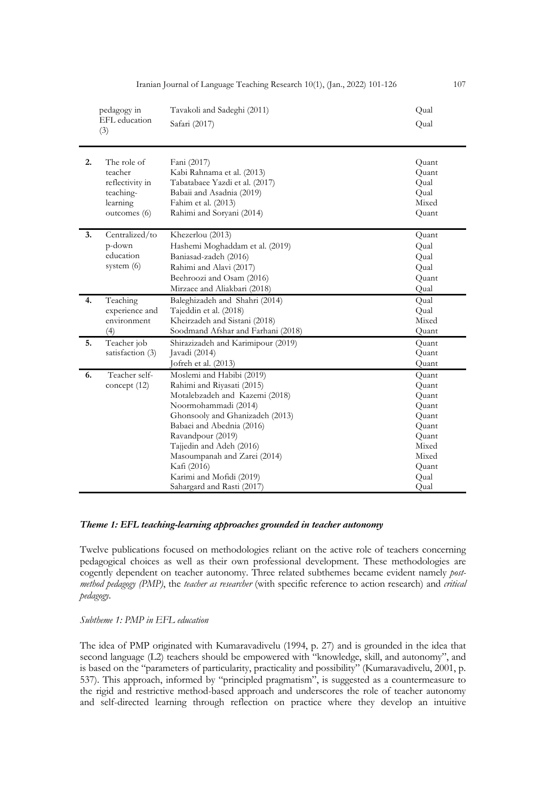|    | pedagogy in<br>EFL education<br>(3)                                                | Tavakoli and Sadeghi (2011)<br>Safari (2017)                                                                                                                                                                                                                                                                                                | Qual<br>Qual                                                                                           |
|----|------------------------------------------------------------------------------------|---------------------------------------------------------------------------------------------------------------------------------------------------------------------------------------------------------------------------------------------------------------------------------------------------------------------------------------------|--------------------------------------------------------------------------------------------------------|
| 2. | The role of<br>teacher<br>reflectivity in<br>teaching-<br>learning<br>outcomes (6) | Fani (2017)<br>Kabi Rahnama et al. (2013)<br>Tabatabaee Yazdi et al. (2017)<br>Babaii and Asadnia (2019)<br>Fahim et al. (2013)<br>Rahimi and Soryani (2014)                                                                                                                                                                                | Quant<br>Quant<br>Qual<br>Qual<br>Mixed<br>Quant                                                       |
| 3. | Centralized/to<br>p-down<br>education<br>system $(6)$                              | Khezerlou (2013)<br>Hashemi Moghaddam et al. (2019)<br>Baniasad-zadeh (2016)<br>Rahimi and Alavi (2017)<br>Beehroozi and Osam (2016)<br>Mirzaee and Aliakbari (2018)                                                                                                                                                                        | Quant<br>Qual<br>Qual<br>Qual<br>Quant<br>Qual                                                         |
| 4. | Teaching<br>experience and<br>environment<br>(4)                                   | Baleghizadeh and Shahri (2014)<br>Tajeddin et al. (2018)<br>Kheirzadeh and Sistani (2018)<br>Soodmand Afshar and Farhani (2018)                                                                                                                                                                                                             | Qual<br>Qual<br>Mixed<br>Quant                                                                         |
| 5. | Teacher job<br>satisfaction (3)                                                    | Shirazizadeh and Karimipour (2019)<br>Javadi (2014)<br>Jofreh et al. (2013)                                                                                                                                                                                                                                                                 | Quant<br>Quant<br>Quant                                                                                |
| 6. | Teacher self-<br>concept $(12)$                                                    | Moslemi and Habibi (2019)<br>Rahimi and Riyasati (2015)<br>Motalebzadeh and Kazemi (2018)<br>Noormohammadi (2014)<br>Ghonsooly and Ghanizadeh (2013)<br>Babaei and Abednia (2016)<br>Ravandpour (2019)<br>Tajjedin and Adeh (2016)<br>Masoumpanah and Zarei (2014)<br>Kafi (2016)<br>Karimi and Mofidi (2019)<br>Sahargard and Rasti (2017) | Quant<br>Quant<br>Quant<br>Quant<br>Quant<br>Quant<br>Quant<br>Mixed<br>Mixed<br>Quant<br>Qual<br>Qual |

Iranian Journal of Language Teaching Research 10(1), (Jan., 2022) 101-126 107

## *Theme 1: EFL teaching-learning approaches grounded in teacher autonomy*

Twelve publications focused on methodologies reliant on the active role of teachers concerning pedagogical choices as well as their own professional development. These methodologies are cogently dependent on teacher autonomy. Three related subthemes became evident namely *postmethod pedagogy (PMP)*, the *teacher as researcher* (with specific reference to action research) and *critical pedagogy*.

*Subtheme 1: PMP in EFL education*

The idea of PMP originated with Kumaravadivelu (1994, p. 27) and is grounded in the idea that second language (L2) teachers should be empowered with "knowledge, skill, and autonomy", and is based on the "parameters of particularity, practicality and possibility" (Kumaravadivelu, 2001, p. 537). This approach, informed by "principled pragmatism", is suggested as a countermeasure to the rigid and restrictive method-based approach and underscores the role of teacher autonomy and self-directed learning through reflection on practice where they develop an intuitive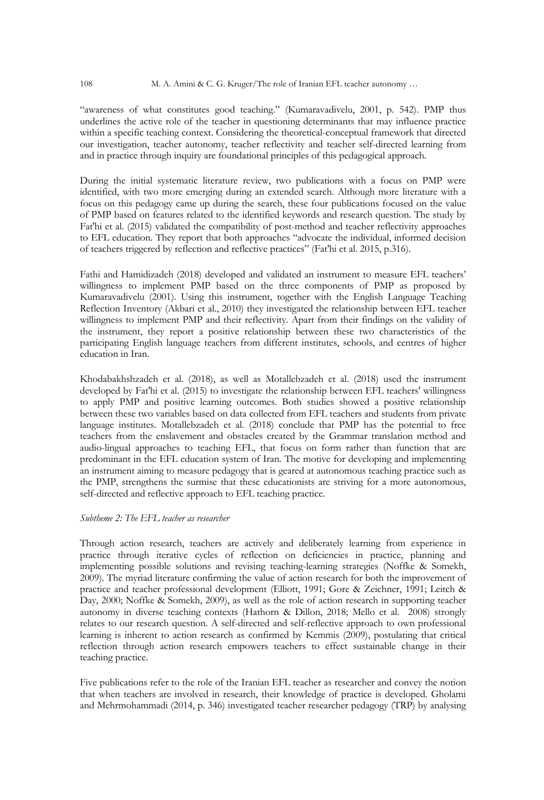"awareness of what constitutes good teaching." (Kumaravadivelu, 2001, p. 542). PMP thus underlines the active role of the teacher in questioning determinants that may influence practice within a specific teaching context. Considering the theoretical-conceptual framework that directed our investigation, teacher autonomy, teacher reflectivity and teacher self-directed learning from and in practice through inquiry are foundational principles of this pedagogical approach.

During the initial systematic literature review, two publications with a focus on PMP were identified, with two more emerging during an extended search. Although more literature with a focus on this pedagogy came up during the search, these four publications focused on the value of PMP based on features related to the identified keywords and research question. The study by Fat'hi et al. (2015) validated the compatibility of post-method and teacher reflectivity approaches to EFL education. They report that both approaches "advocate the individual, informed decision of teachers triggered by reflection and reflective practices" (Fat'hi et al. 2015, p.316).

Fathi and Hamidizadeh (2018) developed and validated an instrument to measure EFL teachers' willingness to implement PMP based on the three components of PMP as proposed by Kumaravadivelu (2001). Using this instrument, together with the English Language Teaching Reflection Inventory (Akbari et al., 2010) they investigated the relationship between EFL teacher willingness to implement PMP and their reflectivity. Apart from their findings on the validity of the instrument, they report a positive relationship between these two characteristics of the participating English language teachers from different institutes, schools, and centres of higher education in Iran.

Khodabakhshzadeh et al. (2018), as well as Motallebzadeh et al. (2018) used the instrument developed by Fat'hi et al. (2015) to investigate the relationship between EFL teachers' willingness to apply PMP and positive learning outcomes. Both studies showed a positive relationship between these two variables based on data collected from EFL teachers and students from private language institutes. Motallebzadeh et al. (2018) conclude that PMP has the potential to free teachers from the enslavement and obstacles created by the Grammar translation method and audio-lingual approaches to teaching EFL, that focus on form rather than function that are predominant in the EFL education system of Iran. The motive for developing and implementing an instrument aiming to measure pedagogy that is geared at autonomous teaching practice such as the PMP, strengthens the surmise that these educationists are striving for a more autonomous, self-directed and reflective approach to EFL teaching practice.

## *Subtheme 2: The EFL teacher as researcher*

Through action research, teachers are actively and deliberately learning from experience in practice through iterative cycles of reflection on deficiencies in practice, planning and implementing possible solutions and revising teaching-learning strategies (Noffke & Somekh, 2009). The myriad literature confirming the value of action research for both the improvement of practice and teacher professional development (Elliott, 1991; Gore & Zeichner, 1991; Leitch & Day, 2000; Noffke & Somekh, 2009), as well as the role of action research in supporting teacher autonomy in diverse teaching contexts (Hathorn & Dillon, 2018; Mello et al. 2008) strongly relates to our research question. A self-directed and self-reflective approach to own professional learning is inherent to action research as confirmed by Kemmis (2009), postulating that critical reflection through action research empowers teachers to effect sustainable change in their teaching practice.

Five publications refer to the role of the Iranian EFL teacher as researcher and convey the notion that when teachers are involved in research, their knowledge of practice is developed. Gholami and Mehrmohammadi (2014, p. 346) investigated teacher researcher pedagogy (TRP) by analysing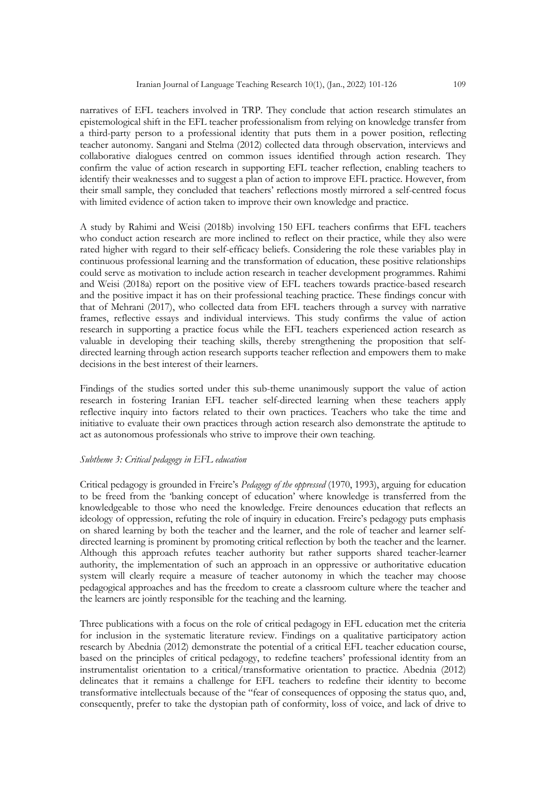narratives of EFL teachers involved in TRP. They conclude that action research stimulates an epistemological shift in the EFL teacher professionalism from relying on knowledge transfer from a third-party person to a professional identity that puts them in a power position, reflecting teacher autonomy. Sangani and Stelma (2012) collected data through observation, interviews and collaborative dialogues centred on common issues identified through action research. They confirm the value of action research in supporting EFL teacher reflection, enabling teachers to identify their weaknesses and to suggest a plan of action to improve EFL practice. However, from their small sample, they concluded that teachers' reflections mostly mirrored a self-centred focus with limited evidence of action taken to improve their own knowledge and practice.

A study by Rahimi and Weisi (2018b) involving 150 EFL teachers confirms that EFL teachers who conduct action research are more inclined to reflect on their practice, while they also were rated higher with regard to their self-efficacy beliefs. Considering the role these variables play in continuous professional learning and the transformation of education, these positive relationships could serve as motivation to include action research in teacher development programmes. Rahimi and Weisi (2018a) report on the positive view of EFL teachers towards practice-based research and the positive impact it has on their professional teaching practice. These findings concur with that of Mehrani (2017), who collected data from EFL teachers through a survey with narrative frames, reflective essays and individual interviews. This study confirms the value of action research in supporting a practice focus while the EFL teachers experienced action research as valuable in developing their teaching skills, thereby strengthening the proposition that selfdirected learning through action research supports teacher reflection and empowers them to make decisions in the best interest of their learners.

Findings of the studies sorted under this sub-theme unanimously support the value of action research in fostering Iranian EFL teacher self-directed learning when these teachers apply reflective inquiry into factors related to their own practices. Teachers who take the time and initiative to evaluate their own practices through action research also demonstrate the aptitude to act as autonomous professionals who strive to improve their own teaching.

## *Subtheme 3: Critical pedagogy in EFL education*

Critical pedagogy is grounded in Freire's *Pedagogy of the oppressed* (1970, 1993), arguing for education to be freed from the 'banking concept of education' where knowledge is transferred from the knowledgeable to those who need the knowledge. Freire denounces education that reflects an ideology of oppression, refuting the role of inquiry in education. Freire's pedagogy puts emphasis on shared learning by both the teacher and the learner, and the role of teacher and learner selfdirected learning is prominent by promoting critical reflection by both the teacher and the learner. Although this approach refutes teacher authority but rather supports shared teacher-learner authority, the implementation of such an approach in an oppressive or authoritative education system will clearly require a measure of teacher autonomy in which the teacher may choose pedagogical approaches and has the freedom to create a classroom culture where the teacher and the learners are jointly responsible for the teaching and the learning.

Three publications with a focus on the role of critical pedagogy in EFL education met the criteria for inclusion in the systematic literature review. Findings on a qualitative participatory action research by Abednia (2012) demonstrate the potential of a critical EFL teacher education course, based on the principles of critical pedagogy, to redefine teachers' professional identity from an instrumentalist orientation to a critical/transformative orientation to practice. Abednia (2012) delineates that it remains a challenge for EFL teachers to redefine their identity to become transformative intellectuals because of the "fear of consequences of opposing the status quo, and, consequently, prefer to take the dystopian path of conformity, loss of voice, and lack of drive to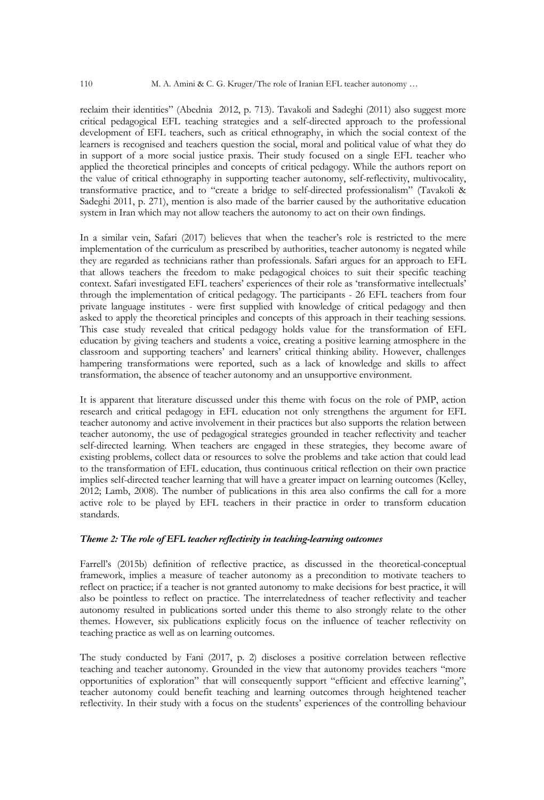reclaim their identities" (Abednia 2012, p. 713). Tavakoli and Sadeghi (2011) also suggest more critical pedagogical EFL teaching strategies and a self-directed approach to the professional development of EFL teachers, such as critical ethnography, in which the social context of the learners is recognised and teachers question the social, moral and political value of what they do in support of a more social justice praxis. Their study focused on a single EFL teacher who applied the theoretical principles and concepts of critical pedagogy. While the authors report on the value of critical ethnography in supporting teacher autonomy, self-reflectivity, multivocality, transformative practice, and to "create a bridge to self-directed professionalism" (Tavakoli & Sadeghi 2011, p. 271), mention is also made of the barrier caused by the authoritative education system in Iran which may not allow teachers the autonomy to act on their own findings.

In a similar vein, Safari (2017) believes that when the teacher's role is restricted to the mere implementation of the curriculum as prescribed by authorities, teacher autonomy is negated while they are regarded as technicians rather than professionals. Safari argues for an approach to EFL that allows teachers the freedom to make pedagogical choices to suit their specific teaching context. Safari investigated EFL teachers' experiences of their role as 'transformative intellectuals' through the implementation of critical pedagogy. The participants - 26 EFL teachers from four private language institutes - were first supplied with knowledge of critical pedagogy and then asked to apply the theoretical principles and concepts of this approach in their teaching sessions. This case study revealed that critical pedagogy holds value for the transformation of EFL education by giving teachers and students a voice, creating a positive learning atmosphere in the classroom and supporting teachers' and learners' critical thinking ability. However, challenges hampering transformations were reported, such as a lack of knowledge and skills to affect transformation, the absence of teacher autonomy and an unsupportive environment.

It is apparent that literature discussed under this theme with focus on the role of PMP, action research and critical pedagogy in EFL education not only strengthens the argument for EFL teacher autonomy and active involvement in their practices but also supports the relation between teacher autonomy, the use of pedagogical strategies grounded in teacher reflectivity and teacher self-directed learning. When teachers are engaged in these strategies, they become aware of existing problems, collect data or resources to solve the problems and take action that could lead to the transformation of EFL education, thus continuous critical reflection on their own practice implies self-directed teacher learning that will have a greater impact on learning outcomes (Kelley, 2012; Lamb, 2008). The number of publications in this area also confirms the call for a more active role to be played by EFL teachers in their practice in order to transform education standards.

## *Theme 2: The role of EFL teacher reflectivity in teaching-learning outcomes*

Farrell's (2015b) definition of reflective practice, as discussed in the theoretical-conceptual framework, implies a measure of teacher autonomy as a precondition to motivate teachers to reflect on practice; if a teacher is not granted autonomy to make decisions for best practice, it will also be pointless to reflect on practice. The interrelatedness of teacher reflectivity and teacher autonomy resulted in publications sorted under this theme to also strongly relate to the other themes. However, six publications explicitly focus on the influence of teacher reflectivity on teaching practice as well as on learning outcomes.

The study conducted by Fani (2017, p. 2) discloses a positive correlation between reflective teaching and teacher autonomy. Grounded in the view that autonomy provides teachers "more opportunities of exploration" that will consequently support "efficient and effective learning", teacher autonomy could benefit teaching and learning outcomes through heightened teacher reflectivity. In their study with a focus on the students' experiences of the controlling behaviour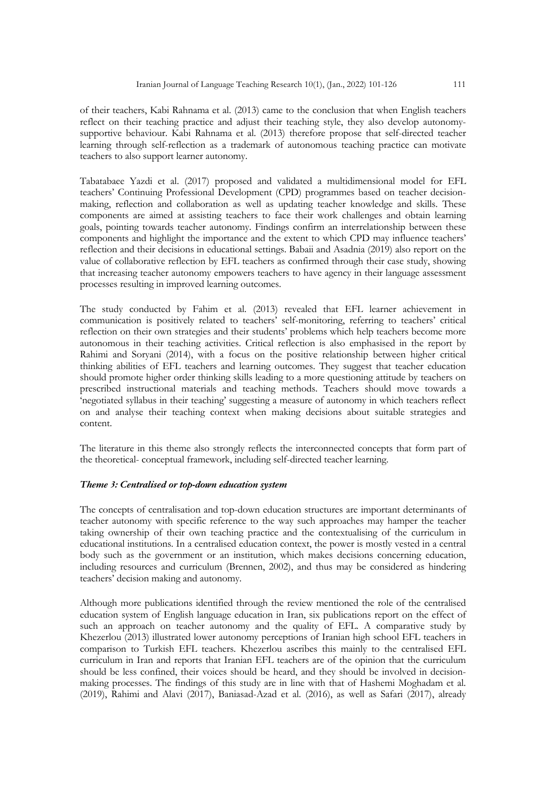of their teachers, Kabi Rahnama et al. (2013) came to the conclusion that when English teachers reflect on their teaching practice and adjust their teaching style, they also develop autonomysupportive behaviour. Kabi Rahnama et al. (2013) therefore propose that self-directed teacher learning through self-reflection as a trademark of autonomous teaching practice can motivate teachers to also support learner autonomy.

Tabatabaee Yazdi et al. (2017) proposed and validated a multidimensional model for EFL teachers' Continuing Professional Development (CPD) programmes based on teacher decisionmaking, reflection and collaboration as well as updating teacher knowledge and skills. These components are aimed at assisting teachers to face their work challenges and obtain learning goals, pointing towards teacher autonomy. Findings confirm an interrelationship between these components and highlight the importance and the extent to which CPD may influence teachers' reflection and their decisions in educational settings. Babaii and Asadnia (2019) also report on the value of collaborative reflection by EFL teachers as confirmed through their case study, showing that increasing teacher autonomy empowers teachers to have agency in their language assessment processes resulting in improved learning outcomes.

The study conducted by Fahim et al. (2013) revealed that EFL learner achievement in communication is positively related to teachers' self-monitoring, referring to teachers' critical reflection on their own strategies and their students' problems which help teachers become more autonomous in their teaching activities. Critical reflection is also emphasised in the report by Rahimi and Soryani (2014), with a focus on the positive relationship between higher critical thinking abilities of EFL teachers and learning outcomes. They suggest that teacher education should promote higher order thinking skills leading to a more questioning attitude by teachers on prescribed instructional materials and teaching methods. Teachers should move towards a 'negotiated syllabus in their teaching' suggesting a measure of autonomy in which teachers reflect on and analyse their teaching context when making decisions about suitable strategies and content.

The literature in this theme also strongly reflects the interconnected concepts that form part of the theoretical- conceptual framework, including self-directed teacher learning.

## *Theme 3: Centralised or top-down education system*

The concepts of centralisation and top-down education structures are important determinants of teacher autonomy with specific reference to the way such approaches may hamper the teacher taking ownership of their own teaching practice and the contextualising of the curriculum in educational institutions. In a centralised education context, the power is mostly vested in a central body such as the government or an institution, which makes decisions concerning education, including resources and curriculum (Brennen, 2002), and thus may be considered as hindering teachers' decision making and autonomy.

Although more publications identified through the review mentioned the role of the centralised education system of English language education in Iran, six publications report on the effect of such an approach on teacher autonomy and the quality of EFL. A comparative study by Khezerlou (2013) illustrated lower autonomy perceptions of Iranian high school EFL teachers in comparison to Turkish EFL teachers. Khezerlou ascribes this mainly to the centralised EFL curriculum in Iran and reports that Iranian EFL teachers are of the opinion that the curriculum should be less confined, their voices should be heard, and they should be involved in decisionmaking processes. The findings of this study are in line with that of Hashemi Moghadam et al. (2019), Rahimi and Alavi (2017), Baniasad-Azad et al. (2016), as well as Safari (2017), already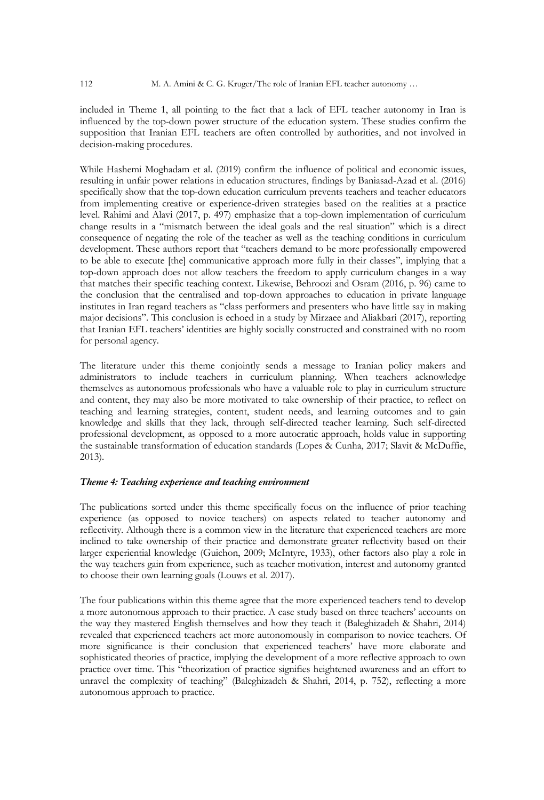included in Theme 1, all pointing to the fact that a lack of EFL teacher autonomy in Iran is influenced by the top-down power structure of the education system. These studies confirm the supposition that Iranian EFL teachers are often controlled by authorities, and not involved in decision-making procedures.

While Hashemi Moghadam et al. (2019) confirm the influence of political and economic issues, resulting in unfair power relations in education structures, findings by Baniasad-Azad et al. (2016) specifically show that the top-down education curriculum prevents teachers and teacher educators from implementing creative or experience-driven strategies based on the realities at a practice level. Rahimi and Alavi (2017, p. 497) emphasize that a top-down implementation of curriculum change results in a "mismatch between the ideal goals and the real situation" which is a direct consequence of negating the role of the teacher as well as the teaching conditions in curriculum development. These authors report that "teachers demand to be more professionally empowered to be able to execute [the] communicative approach more fully in their classes", implying that a top-down approach does not allow teachers the freedom to apply curriculum changes in a way that matches their specific teaching context. Likewise, Behroozi and Osram (2016, p. 96) came to the conclusion that the centralised and top-down approaches to education in private language institutes in Iran regard teachers as "class performers and presenters who have little say in making major decisions". This conclusion is echoed in a study by Mirzaee and Aliakbari (2017), reporting that Iranian EFL teachers' identities are highly socially constructed and constrained with no room for personal agency.

The literature under this theme conjointly sends a message to Iranian policy makers and administrators to include teachers in curriculum planning. When teachers acknowledge themselves as autonomous professionals who have a valuable role to play in curriculum structure and content, they may also be more motivated to take ownership of their practice, to reflect on teaching and learning strategies, content, student needs, and learning outcomes and to gain knowledge and skills that they lack, through self-directed teacher learning. Such self-directed professional development, as opposed to a more autocratic approach, holds value in supporting the sustainable transformation of education standards (Lopes & Cunha, 2017; Slavit & McDuffie, 2013).

## *Theme 4: Teaching experience and teaching environment*

The publications sorted under this theme specifically focus on the influence of prior teaching experience (as opposed to novice teachers) on aspects related to teacher autonomy and reflectivity. Although there is a common view in the literature that experienced teachers are more inclined to take ownership of their practice and demonstrate greater reflectivity based on their larger experiential knowledge (Guichon, 2009; McIntyre, 1933), other factors also play a role in the way teachers gain from experience, such as teacher motivation, interest and autonomy granted to choose their own learning goals (Louws et al. 2017).

The four publications within this theme agree that the more experienced teachers tend to develop a more autonomous approach to their practice. A case study based on three teachers' accounts on the way they mastered English themselves and how they teach it (Baleghizadeh & Shahri, 2014) revealed that experienced teachers act more autonomously in comparison to novice teachers. Of more significance is their conclusion that experienced teachers' have more elaborate and sophisticated theories of practice, implying the development of a more reflective approach to own practice over time. This "theorization of practice signifies heightened awareness and an effort to unravel the complexity of teaching" (Baleghizadeh & Shahri, 2014, p. 752), reflecting a more autonomous approach to practice.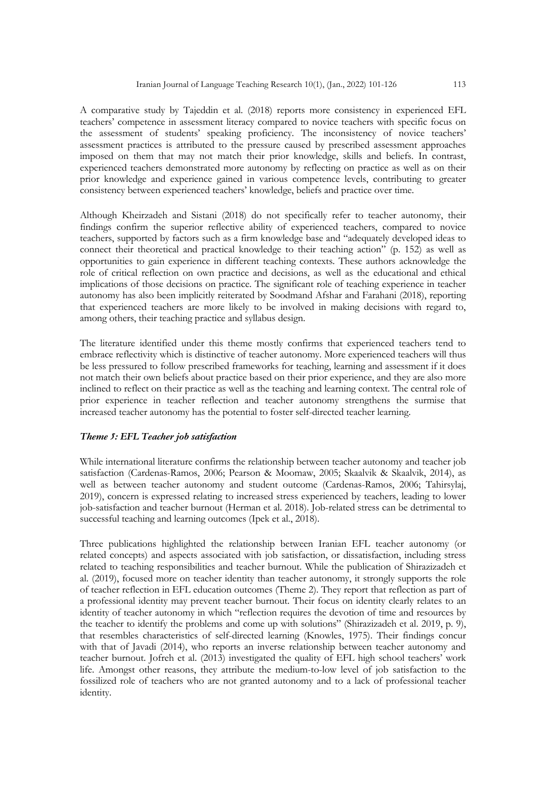A comparative study by Tajeddin et al. (2018) reports more consistency in experienced EFL teachers' competence in assessment literacy compared to novice teachers with specific focus on the assessment of students' speaking proficiency. The inconsistency of novice teachers' assessment practices is attributed to the pressure caused by prescribed assessment approaches imposed on them that may not match their prior knowledge, skills and beliefs. In contrast, experienced teachers demonstrated more autonomy by reflecting on practice as well as on their prior knowledge and experience gained in various competence levels, contributing to greater consistency between experienced teachers' knowledge, beliefs and practice over time.

Although Kheirzadeh and Sistani (2018) do not specifically refer to teacher autonomy, their findings confirm the superior reflective ability of experienced teachers, compared to novice teachers, supported by factors such as a firm knowledge base and "adequately developed ideas to connect their theoretical and practical knowledge to their teaching action" (p. 152) as well as opportunities to gain experience in different teaching contexts. These authors acknowledge the role of critical reflection on own practice and decisions, as well as the educational and ethical implications of those decisions on practice. The significant role of teaching experience in teacher autonomy has also been implicitly reiterated by Soodmand Afshar and Farahani (2018), reporting that experienced teachers are more likely to be involved in making decisions with regard to, among others, their teaching practice and syllabus design.

The literature identified under this theme mostly confirms that experienced teachers tend to embrace reflectivity which is distinctive of teacher autonomy. More experienced teachers will thus be less pressured to follow prescribed frameworks for teaching, learning and assessment if it does not match their own beliefs about practice based on their prior experience, and they are also more inclined to reflect on their practice as well as the teaching and learning context. The central role of prior experience in teacher reflection and teacher autonomy strengthens the surmise that increased teacher autonomy has the potential to foster self-directed teacher learning.

## *Theme 5: EFL Teacher job satisfaction*

While international literature confirms the relationship between teacher autonomy and teacher job satisfaction (Cardenas-Ramos, 2006; Pearson & Moomaw, 2005; Skaalvik & Skaalvik, 2014), as well as between teacher autonomy and student outcome (Cardenas-Ramos, 2006; Tahirsylaj, 2019), concern is expressed relating to increased stress experienced by teachers, leading to lower job-satisfaction and teacher burnout (Herman et al. 2018). Job-related stress can be detrimental to successful teaching and learning outcomes (Ipek et al., 2018).

Three publications highlighted the relationship between Iranian EFL teacher autonomy (or related concepts) and aspects associated with job satisfaction, or dissatisfaction, including stress related to teaching responsibilities and teacher burnout. While the publication of Shirazizadeh et al. (2019), focused more on teacher identity than teacher autonomy, it strongly supports the role of teacher reflection in EFL education outcomes (Theme 2). They report that reflection as part of a professional identity may prevent teacher burnout. Their focus on identity clearly relates to an identity of teacher autonomy in which "reflection requires the devotion of time and resources by the teacher to identify the problems and come up with solutions" (Shirazizadeh et al. 2019, p. 9), that resembles characteristics of self-directed learning (Knowles, 1975). Their findings concur with that of Javadi (2014), who reports an inverse relationship between teacher autonomy and teacher burnout. Jofreh et al. (2013) investigated the quality of EFL high school teachers' work life. Amongst other reasons, they attribute the medium-to-low level of job satisfaction to the fossilized role of teachers who are not granted autonomy and to a lack of professional teacher identity.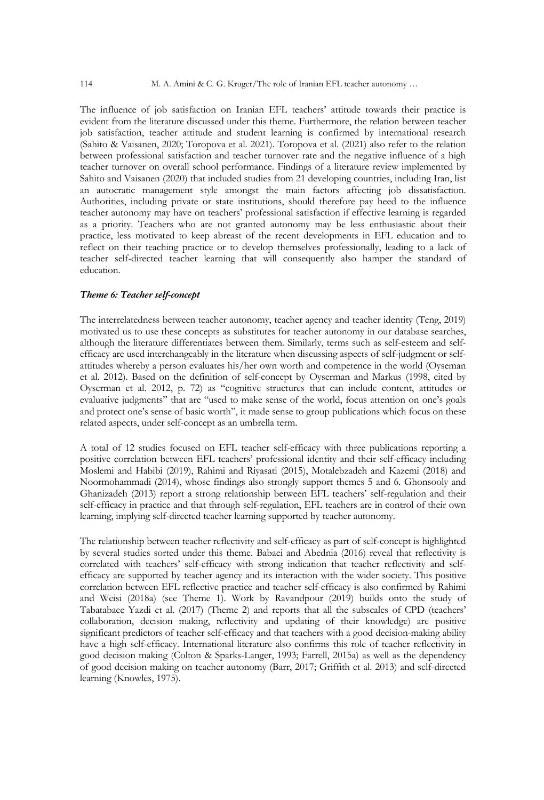The influence of job satisfaction on Iranian EFL teachers' attitude towards their practice is evident from the literature discussed under this theme. Furthermore, the relation between teacher job satisfaction, teacher attitude and student learning is confirmed by international research (Sahito & Vaisanen, 2020; Toropova et al. 2021). Toropova et al. (2021) also refer to the relation between professional satisfaction and teacher turnover rate and the negative influence of a high teacher turnover on overall school performance. Findings of a literature review implemented by Sahito and Vaisanen (2020) that included studies from 21 developing countries, including Iran, list an autocratic management style amongst the main factors affecting job dissatisfaction. Authorities, including private or state institutions, should therefore pay heed to the influence teacher autonomy may have on teachers' professional satisfaction if effective learning is regarded as a priority. Teachers who are not granted autonomy may be less enthusiastic about their practice, less motivated to keep abreast of the recent developments in EFL education and to reflect on their teaching practice or to develop themselves professionally, leading to a lack of teacher self-directed teacher learning that will consequently also hamper the standard of education.

#### *Theme 6: Teacher self-concept*

The interrelatedness between teacher autonomy, teacher agency and teacher identity (Teng, 2019) motivated us to use these concepts as substitutes for teacher autonomy in our database searches, although the literature differentiates between them. Similarly, terms such as self-esteem and selfefficacy are used interchangeably in the literature when discussing aspects of self-judgment or selfattitudes whereby a person evaluates his/her own worth and competence in the world (Oyseman et al. 2012). Based on the definition of self-concept by Oyserman and Markus (1998, cited by Oyserman et al. 2012, p. 72) as "cognitive structures that can include content, attitudes or evaluative judgments" that are "used to make sense of the world, focus attention on one's goals and protect one's sense of basic worth", it made sense to group publications which focus on these related aspects, under self-concept as an umbrella term.

A total of 12 studies focused on EFL teacher self-efficacy with three publications reporting a positive correlation between EFL teachers' professional identity and their self-efficacy including Moslemi and Habibi (2019), Rahimi and Riyasati (2015), Motalebzadeh and Kazemi (2018) and Noormohammadi (2014), whose findings also strongly support themes 5 and 6. Ghonsooly and Ghanizadeh (2013) report a strong relationship between EFL teachers' self-regulation and their self-efficacy in practice and that through self-regulation, EFL teachers are in control of their own learning, implying self-directed teacher learning supported by teacher autonomy.

The relationship between teacher reflectivity and self-efficacy as part of self-concept is highlighted by several studies sorted under this theme. Babaei and Abednia (2016) reveal that reflectivity is correlated with teachers' self-efficacy with strong indication that teacher reflectivity and selfefficacy are supported by teacher agency and its interaction with the wider society. This positive correlation between EFL reflective practice and teacher self-efficacy is also confirmed by Rahimi and Weisi (2018a) (see Theme 1). Work by Ravandpour (2019) builds onto the study of Tabatabaee Yazdi et al. (2017) (Theme 2) and reports that all the subscales of CPD (teachers' collaboration, decision making, reflectivity and updating of their knowledge) are positive significant predictors of teacher self-efficacy and that teachers with a good decision-making ability have a high self-efficacy. International literature also confirms this role of teacher reflectivity in good decision making (Colton & Sparks-Langer, 1993; Farrell, 2015a) as well as the dependency of good decision making on teacher autonomy (Barr, 2017; Griffith et al. 2013) and self-directed learning (Knowles, 1975).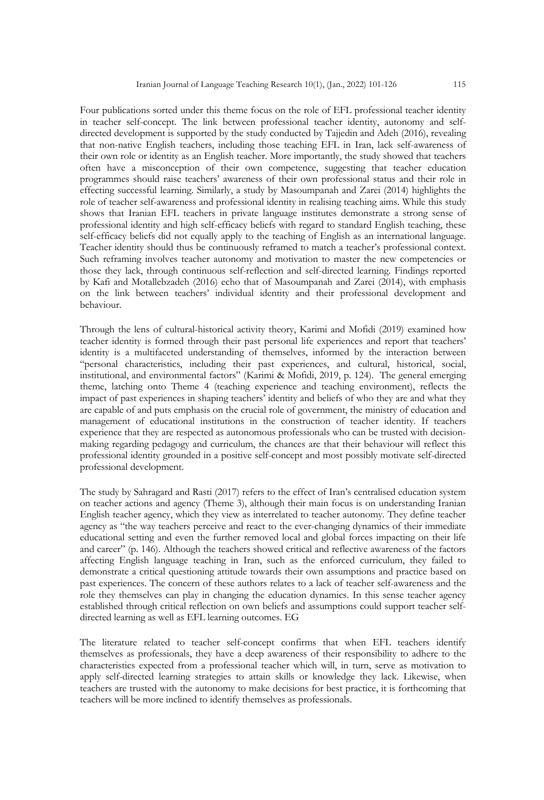Four publications sorted under this theme focus on the role of EFL professional teacher identity in teacher self-concept. The link between professional teacher identity, autonomy and selfdirected development is supported by the study conducted by Tajjedin and Adeh (2016), revealing that non-native English teachers, including those teaching EFL in Iran, lack self-awareness of their own role or identity as an English teacher. More importantly, the study showed that teachers often have a misconception of their own competence, suggesting that teacher education programmes should raise teachers' awareness of their own professional status and their role in effecting successful learning. Similarly, a study by Masoumpanah and Zarei (2014) highlights the role of teacher self-awareness and professional identity in realising teaching aims. While this study shows that Iranian EFL teachers in private language institutes demonstrate a strong sense of professional identity and high self-efficacy beliefs with regard to standard English teaching, these self-efficacy beliefs did not equally apply to the teaching of English as an international language. Teacher identity should thus be continuously reframed to match a teacher's professional context. Such reframing involves teacher autonomy and motivation to master the new competencies or those they lack, through continuous self-reflection and self-directed learning. Findings reported by Kafi and Motallebzadeh (2016) echo that of Masoumpanah and Zarei (2014), with emphasis on the link between teachers' individual identity and their professional development and behaviour.

Through the lens of cultural-historical activity theory, Karimi and Mofidi (2019) examined how teacher identity is formed through their past personal life experiences and report that teachers' identity is a multifaceted understanding of themselves, informed by the interaction between "personal characteristics, including their past experiences, and cultural, historical, social, institutional, and environmental factors" (Karimi & Mofidi, 2019, p. 124). The general emerging theme, latching onto Theme 4 (teaching experience and teaching environment), reflects the impact of past experiences in shaping teachers' identity and beliefs of who they are and what they are capable of and puts emphasis on the crucial role of government, the ministry of education and management of educational institutions in the construction of teacher identity. If teachers experience that they are respected as autonomous professionals who can be trusted with decisionmaking regarding pedagogy and curriculum, the chances are that their behaviour will reflect this professional identity grounded in a positive self-concept and most possibly motivate self-directed professional development.

The study by Sahragard and Rasti (2017) refers to the effect of Iran's centralised education system on teacher actions and agency (Theme 3), although their main focus is on understanding Iranian English teacher agency, which they view as interrelated to teacher autonomy. They define teacher agency as "the way teachers perceive and react to the ever-changing dynamics of their immediate educational setting and even the further removed local and global forces impacting on their life and career" (p. 146). Although the teachers showed critical and reflective awareness of the factors affecting English language teaching in Iran, such as the enforced curriculum, they failed to demonstrate a critical questioning attitude towards their own assumptions and practice based on past experiences. The concern of these authors relates to a lack of teacher self-awareness and the role they themselves can play in changing the education dynamics. In this sense teacher agency established through critical reflection on own beliefs and assumptions could support teacher selfdirected learning as well as EFL learning outcomes. EG

The literature related to teacher self-concept confirms that when EFL teachers identify themselves as professionals, they have a deep awareness of their responsibility to adhere to the characteristics expected from a professional teacher which will, in turn, serve as motivation to apply self-directed learning strategies to attain skills or knowledge they lack. Likewise, when teachers are trusted with the autonomy to make decisions for best practice, it is forthcoming that teachers will be more inclined to identify themselves as professionals.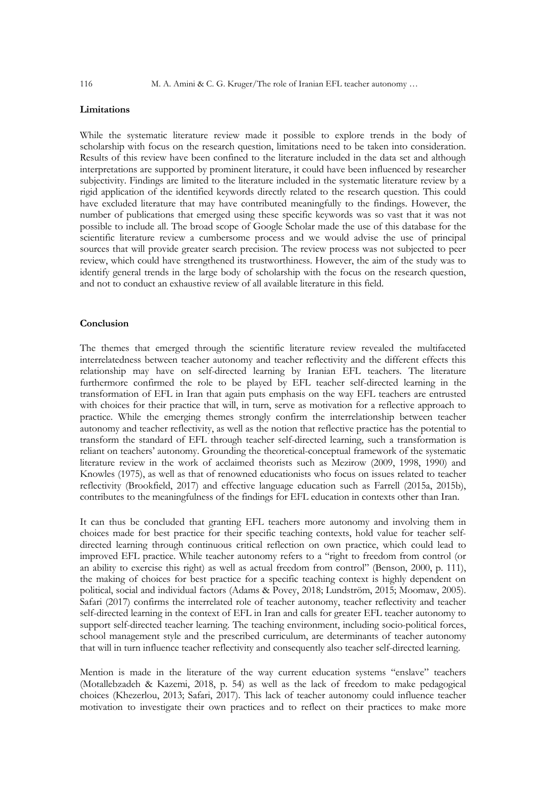## **Limitations**

While the systematic literature review made it possible to explore trends in the body of scholarship with focus on the research question, limitations need to be taken into consideration. Results of this review have been confined to the literature included in the data set and although interpretations are supported by prominent literature, it could have been influenced by researcher subjectivity. Findings are limited to the literature included in the systematic literature review by a rigid application of the identified keywords directly related to the research question. This could have excluded literature that may have contributed meaningfully to the findings. However, the number of publications that emerged using these specific keywords was so vast that it was not possible to include all. The broad scope of Google Scholar made the use of this database for the scientific literature review a cumbersome process and we would advise the use of principal sources that will provide greater search precision. The review process was not subjected to peer review, which could have strengthened its trustworthiness. However, the aim of the study was to identify general trends in the large body of scholarship with the focus on the research question, and not to conduct an exhaustive review of all available literature in this field.

### **Conclusion**

The themes that emerged through the scientific literature review revealed the multifaceted interrelatedness between teacher autonomy and teacher reflectivity and the different effects this relationship may have on self-directed learning by Iranian EFL teachers. The literature furthermore confirmed the role to be played by EFL teacher self-directed learning in the transformation of EFL in Iran that again puts emphasis on the way EFL teachers are entrusted with choices for their practice that will, in turn, serve as motivation for a reflective approach to practice. While the emerging themes strongly confirm the interrelationship between teacher autonomy and teacher reflectivity, as well as the notion that reflective practice has the potential to transform the standard of EFL through teacher self-directed learning, such a transformation is reliant on teachers' autonomy. Grounding the theoretical-conceptual framework of the systematic literature review in the work of acclaimed theorists such as Mezirow (2009, 1998, 1990) and Knowles (1975), as well as that of renowned educationists who focus on issues related to teacher reflectivity (Brookfield, 2017) and effective language education such as Farrell (2015a, 2015b), contributes to the meaningfulness of the findings for EFL education in contexts other than Iran.

It can thus be concluded that granting EFL teachers more autonomy and involving them in choices made for best practice for their specific teaching contexts, hold value for teacher selfdirected learning through continuous critical reflection on own practice, which could lead to improved EFL practice. While teacher autonomy refers to a "right to freedom from control (or an ability to exercise this right) as well as actual freedom from control" (Benson, 2000, p. 111), the making of choices for best practice for a specific teaching context is highly dependent on political, social and individual factors (Adams & Povey, 2018; Lundström, 2015; Moomaw, 2005). Safari (2017) confirms the interrelated role of teacher autonomy, teacher reflectivity and teacher self-directed learning in the context of EFL in Iran and calls for greater EFL teacher autonomy to support self-directed teacher learning. The teaching environment, including socio-political forces, school management style and the prescribed curriculum, are determinants of teacher autonomy that will in turn influence teacher reflectivity and consequently also teacher self-directed learning.

Mention is made in the literature of the way current education systems "enslave" teachers (Motallebzadeh & Kazemi, 2018, p. 54) as well as the lack of freedom to make pedagogical choices (Khezerlou, 2013; Safari, 2017). This lack of teacher autonomy could influence teacher motivation to investigate their own practices and to reflect on their practices to make more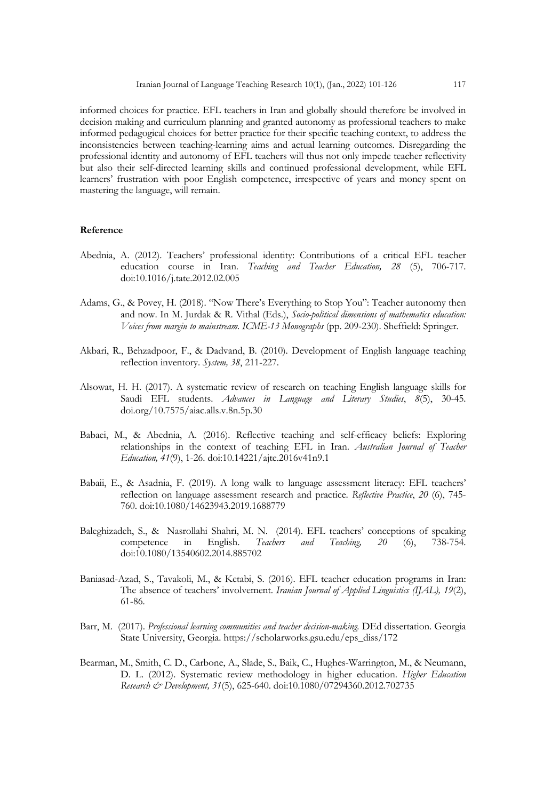informed choices for practice. EFL teachers in Iran and globally should therefore be involved in decision making and curriculum planning and granted autonomy as professional teachers to make informed pedagogical choices for better practice for their specific teaching context, to address the inconsistencies between teaching-learning aims and actual learning outcomes. Disregarding the professional identity and autonomy of EFL teachers will thus not only impede teacher reflectivity but also their self-directed learning skills and continued professional development, while EFL learners' frustration with poor English competence, irrespective of years and money spent on mastering the language, will remain.

## **Reference**

- Abednia, A. (2012). Teachers' professional identity: Contributions of a critical EFL teacher education course in Iran. *Teaching and Teacher Education, 28* (5), 706-717. doi:10.1016/j.tate.2012.02.005
- Adams, G., & Povey, H. (2018). "Now There's Everything to Stop You": Teacher autonomy then and now. In M. Jurdak & R. Vithal (Eds.), *Socio-political dimensions of mathematics education: Voices from margin to mainstream. ICME-13 Monographs* (pp. 209-230). Sheffield: Springer.
- Akbari, R., Behzadpoor, F., & Dadvand, B. (2010). Development of English language teaching reflection inventory. *System, 38*, 211-227.
- Alsowat, H. H. (2017). A systematic review of research on teaching English language skills for Saudi EFL students. *Advances in Language and Literary Studies*, *8*(5), 30-45. doi.org/10.7575/aiac.alls.v.8n.5p.30
- Babaei, M., & Abednia, A. (2016). Reflective teaching and self-efficacy beliefs: Exploring relationships in the context of teaching EFL in Iran. *Australian Journal of Teacher Education, 41*(9), 1-26. doi:10.14221/ajte.2016v41n9.1
- Babaii, E., & Asadnia, F. (2019). A long walk to language assessment literacy: EFL teachers' reflection on language assessment research and practice. *Reflective Practice*, *20* (6), 745- 760. doi:10.1080/14623943.2019.1688779
- Baleghizadeh, S., & Nasrollahi Shahri, M. N. (2014). EFL teachers' conceptions of speaking competence in English. *Teachers and Teaching, 20* (6), 738-754. doi:10.1080/13540602.2014.885702
- Baniasad-Azad, S., Tavakoli, M., & Ketabi, S. (2016). EFL teacher education programs in Iran: The absence of teachers' involvement. *Iranian Journal of Applied Linguistics (IJAL), 19*(2), 61-86.
- Barr, M. (2017). *Professional learning communities and teacher decision-making.* DEd dissertation. Georgia State University, Georgia. https://scholarworks.gsu.edu/eps\_diss/172
- Bearman, M., Smith, C. D., Carbone, A., Slade, S., Baik, C., Hughes-Warrington, M., & Neumann, D. L. (2012). Systematic review methodology in higher education. *Higher Education Research & Development, 31*(5), 625-640. doi:10.1080/07294360.2012.702735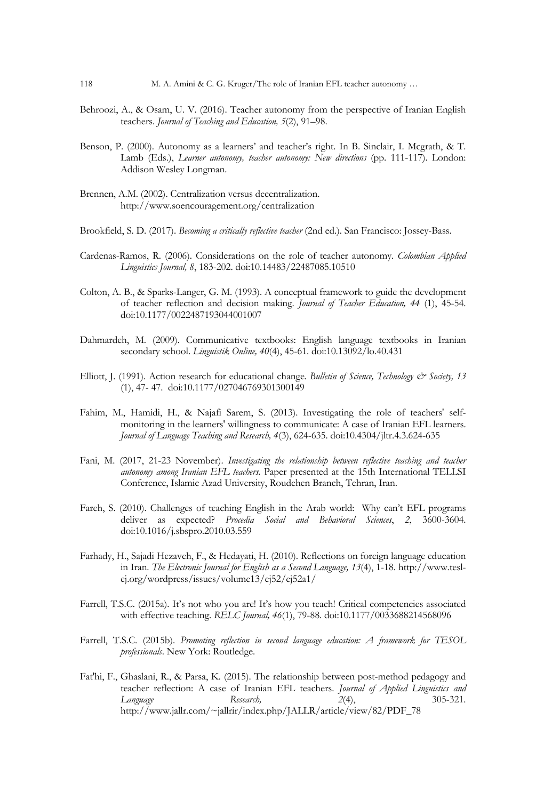- Behroozi, A., & Osam, U. V. (2016). Teacher autonomy from the perspective of Iranian English teachers. *Journal of Teaching and Education, 5*(2), 91–98.
- Benson, P. (2000). Autonomy as a learners' and teacher's right. In B. Sinclair, I. Mcgrath, & T. Lamb (Eds.), *Learner autonomy, teacher autonomy: New directions* (pp. 111-117). London: Addison Wesley Longman.
- Brennen, A.M. (2002). Centralization versus decentralization. http://www.soencouragement.org/centralization
- Brookfield, S. D. (2017). *Becoming a critically reflective teacher* (2nd ed.). San Francisco: Jossey-Bass.
- Cardenas-Ramos, R. (2006). Considerations on the role of teacher autonomy. *Colombian Applied Linguistics Journal, 8*, 183-202. doi:10.14483/22487085.10510
- Colton, A. B., & Sparks-Langer, G. M. (1993). A conceptual framework to guide the development of teacher reflection and decision making. *Journal of Teacher Education, 44* (1), 45-54. doi:10.1177/0022487193044001007
- Dahmardeh, M. (2009). Communicative textbooks: English language textbooks in Iranian secondary school. *Linguistik Online, 40*(4), 45-61. doi:10.13092/lo.40.431
- Elliott, J. (1991). Action research for educational change. *Bulletin of Science, Technology & Society, 13* (1), 47- 47. doi:10.1177/027046769301300149
- Fahim, M., Hamidi, H., & Najafi Sarem, S. (2013). Investigating the role of teachers' selfmonitoring in the learners' willingness to communicate: A case of Iranian EFL learners. *Journal of Language Teaching and Research, 4*(3), 624-635. doi:10.4304/jltr.4.3.624-635
- Fani, M. (2017, 21-23 November). *Investigating the relationship between reflective teaching and teacher autonomy among Iranian EFL teachers.* Paper presented at the 15th International TELLSI Conference, Islamic Azad University, Roudehen Branch, Tehran, Iran.
- Fareh, S. (2010). Challenges of teaching English in the Arab world: Why can't EFL programs deliver as expected? *Procedia Social and Behavioral Sciences*, *2*, 3600-3604. doi:10.1016/j.sbspro.2010.03.559
- Farhady, H., Sajadi Hezaveh, F., & Hedayati, H. (2010). Reflections on foreign language education in Iran. *The Electronic Journal for English as a Second Language, 13*(4), 1-18. http://www.teslej.org/wordpress/issues/volume13/ej52/ej52a1/
- Farrell, T.S.C. (2015a). It's not who you are! It's how you teach! Critical competencies associated with effective teaching. *RELC Journal, 46*(1), 79-88. doi:10.1177/0033688214568096
- Farrell, T.S.C. (2015b). *Promoting reflection in second language education: A framework for TESOL professionals*. New York: Routledge.
- Fat'hi, F., Ghaslani, R., & Parsa, K. (2015). The relationship between post-method pedagogy and teacher reflection: A case of Iranian EFL teachers. *Journal of Applied Linguistics and Language Research, 2*(4), 305-321. http://www.jallr.com/~jallrir/index.php/JALLR/article/view/82/PDF\_78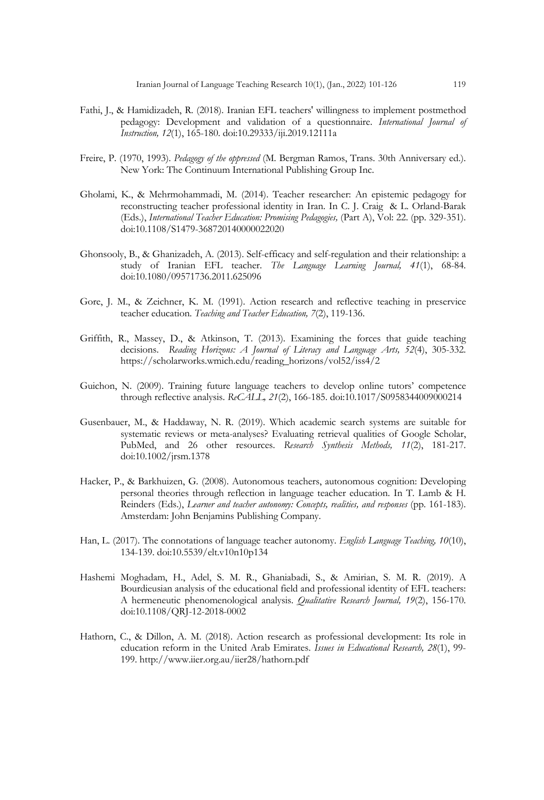- Fathi, J., & Hamidizadeh, R. (2018). Iranian EFL teachers' willingness to implement postmethod pedagogy: Development and validation of a questionnaire. *International Journal of Instruction, 12*(1), 165-180. doi:10.29333/iji.2019.12111a
- Freire, P. (1970, 1993). *Pedagogy of the oppressed* (M. Bergman Ramos, Trans. 30th Anniversary ed.). New York: The Continuum International Publishing Group Inc.
- Gholami, K., & Mehrmohammadi, M. (2014). Teacher researcher: An epistemic pedagogy for reconstructing teacher professional identity in Iran. In C. J. Craig & L. Orland-Barak (Eds.), *International Teacher Education: Promising Pedagogies,* (Part A), Vol: 22. (pp. 329-351). doi:10.1108/S1479-368720140000022020
- Ghonsooly, B., & Ghanizadeh, A. (2013). Self-efficacy and self-regulation and their relationship: a study of Iranian EFL teacher. *The Language Learning Journal, 41*(1), 68-84. doi:10.1080/09571736.2011.625096
- Gore, J. M., & Zeichner, K. M. (1991). Action research and reflective teaching in preservice teacher education. *Teaching and Teacher Education, 7*(2), 119-136.
- Griffith, R., Massey, D., & Atkinson, T. (2013). Examining the forces that guide teaching decisions. *Reading Horizons: A Journal of Literacy and Language Arts, 52*(4), 305-332. https://scholarworks.wmich.edu/reading\_horizons/vol52/iss4/2
- Guichon, N. (2009). Training future language teachers to develop online tutors' competence through reflective analysis. *ReCALL, 21*(2), 166-185. doi:10.1017/S0958344009000214
- Gusenbauer, M., & Haddaway, N. R. (2019). Which academic search systems are suitable for systematic reviews or meta-analyses? Evaluating retrieval qualities of Google Scholar, PubMed, and 26 other resources. *Research Synthesis Methods, 11*(2), 181-217. doi:10.1002/jrsm.1378
- Hacker, P., & Barkhuizen, G. (2008). Autonomous teachers, autonomous cognition: Developing personal theories through reflection in language teacher education. In T. Lamb & H. Reinders (Eds.), *Learner and teacher autonomy: Concepts, realities, and responses* (pp. 161-183). Amsterdam: John Benjamins Publishing Company.
- Han, L. (2017). The connotations of language teacher autonomy. *English Language Teaching, 10*(10), 134-139. doi:10.5539/elt.v10n10p134
- Hashemi Moghadam, H., Adel, S. M. R., Ghaniabadi, S., & Amirian, S. M. R. (2019). A Bourdieusian analysis of the educational field and professional identity of EFL teachers: A hermeneutic phenomenological analysis. *Qualitative Research Journal, 19*(2), 156-170. doi:10.1108/QRJ-12-2018-0002
- Hathorn, C., & Dillon, A. M. (2018). Action research as professional development: Its role in education reform in the United Arab Emirates. *Issues in Educational Research, 28*(1), 99- 199. http://www.iier.org.au/iier28/hathorn.pdf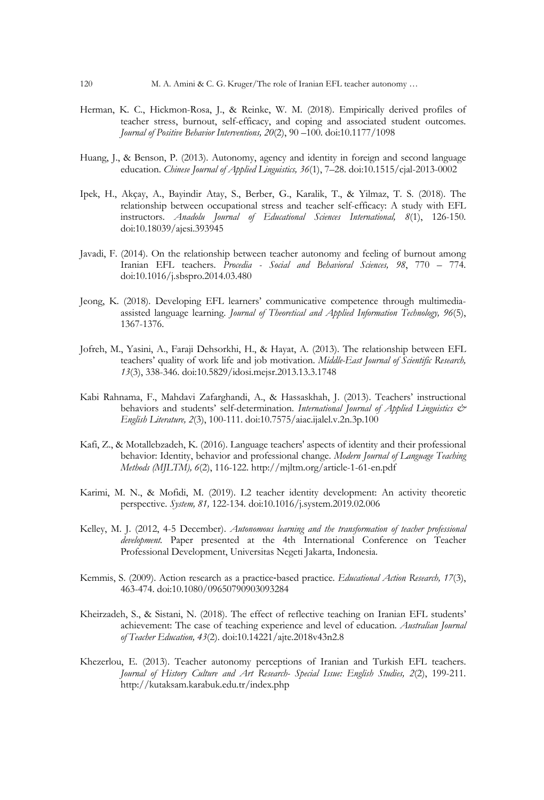- Herman, K. C., Hickmon-Rosa, J., & Reinke, W. M. (2018). Empirically derived profiles of teacher stress, burnout, self-efficacy, and coping and associated student outcomes. *Journal of Positive Behavior Interventions, 20*(2), 90 –100. doi:10.1177/1098
- Huang, J., & Benson, P. (2013). Autonomy, agency and identity in foreign and second language education. *Chinese Journal of Applied Linguistics, 36*(1), 7–28. doi:10.1515/cjal-2013-0002
- Ipek, H., Akçay, A., Bayindir Atay, S., Berber, G., Karalik, T., & Yilmaz, T. S. (2018). The relationship between occupational stress and teacher self-efficacy: A study with EFL instructors. *Anadolu Journal of Educational Sciences International, 8*(1), 126-150. doi:10.18039/ajesi.393945
- Javadi, F. (2014). On the relationship between teacher autonomy and feeling of burnout among Iranian EFL teachers. *Procedia - Social and Behavioral Sciences, 98*, 770 – 774. doi:10.1016/j.sbspro.2014.03.480
- Jeong, K. (2018). Developing EFL learners' communicative competence through multimediaassisted language learning. *Journal of Theoretical and Applied Information Technology, 96*(5), 1367-1376.
- Jofreh, M., Yasini, A., Faraji Dehsorkhi, H., & Hayat, A. (2013). The relationship between EFL teachers' quality of work life and job motivation. *Middle-East Journal of Scientific Research, 13*(3), 338-346. doi:10.5829/idosi.mejsr.2013.13.3.1748
- Kabi Rahnama, F., Mahdavi Zafarghandi, A., & Hassaskhah, J. (2013). Teachers' instructional behaviors and students' self-determination. *International Journal of Applied Linguistics*  $\mathcal{O}^*$ *English Literature, 2*(3), 100-111. doi:10.7575/aiac.ijalel.v.2n.3p.100
- Kafi, Z., & Motallebzadeh, K. (2016). Language teachers' aspects of identity and their professional behavior: Identity, behavior and professional change. *Modern Journal of Language Teaching Methods (MJLTM), 6*(2), 116-122. http://mjltm.org/article-1-61-en.pdf
- Karimi, M. N., & Mofidi, M. (2019). L2 teacher identity development: An activity theoretic perspective. *System, 81,* 122-134*.* doi:10.1016/j.system.2019.02.006
- Kelley, M. J. (2012, 4-5 December). *Autonomous learning and the transformation of teacher professional development.* Paper presented at the 4th International Conference on Teacher Professional Development, Universitas Negeti Jakarta, Indonesia.
- Kemmis, S. (2009). Action research as a practice-based practice. *Educational Action Research, 17*(3), 463-474. doi:10.1080/09650790903093284
- Kheirzadeh, S., & Sistani, N. (2018). The effect of reflective teaching on Iranian EFL students' achievement: The case of teaching experience and level of education. *Australian Journal of Teacher Education, 43*(2). doi:10.14221/ajte.2018v43n2.8
- Khezerlou, E. (2013). Teacher autonomy perceptions of Iranian and Turkish EFL teachers. *Journal of History Culture and Art Research- Special Issue: English Studies, 2*(2), 199-211. http://kutaksam.karabuk.edu.tr/index.php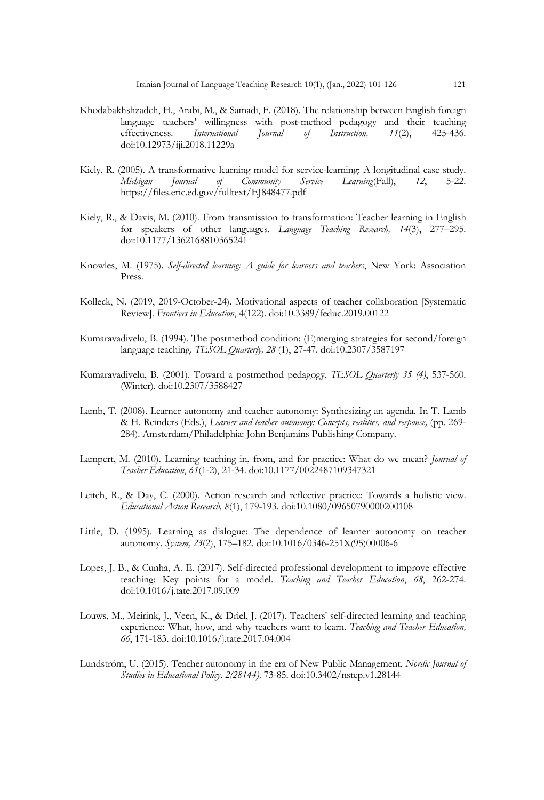- Khodabakhshzadeh, H., Arabi, M., & Samadi, F. (2018). The relationship between English foreign language teachers' willingness with post-method pedagogy and their teaching effectiveness. *International Journal of Instruction, 11*(2), 425-436. doi:10.12973/iji.2018.11229a
- Kiely, R. (2005). A transformative learning model for service-learning: A longitudinal case study. *Michigan Journal of Community Service Learning*(Fall), *12*, 5-22. https://files.eric.ed.gov/fulltext/EJ848477.pdf
- Kiely, R., & Davis, M. (2010). From transmission to transformation: Teacher learning in English for speakers of other languages. *Language Teaching Research, 14*(3), 277–295. doi:10.1177/1362168810365241
- Knowles, M. (1975). *Self-directed learning: A guide for learners and teachers*, New York: Association Press.
- Kolleck, N. (2019, 2019-October-24). Motivational aspects of teacher collaboration [Systematic Review]. *Frontiers in Education*, 4(122). doi:10.3389/feduc.2019.00122
- Kumaravadivelu, B. (1994). The postmethod condition: (E)merging strategies for second/foreign language teaching. *TESOL Quarterly, 28* (1), 27-47. doi:10.2307/3587197
- Kumaravadivelu, B. (2001). Toward a postmethod pedagogy. *TESOL Quarterly 35 (4)*, 537-560. (Winter). doi:10.2307/3588427
- Lamb, T. (2008). Learner autonomy and teacher autonomy: Synthesizing an agenda. In T. Lamb & H. Reinders (Eds.), *Learner and teacher autonomy: Concepts, realities, and response,* (pp. 269- 284). Amsterdam/Philadelphia: John Benjamins Publishing Company.
- Lampert, M. (2010). Learning teaching in, from, and for practice: What do we mean? *Journal of Teacher Education*, *61*(1-2), 21-34. doi:10.1177/0022487109347321
- Leitch, R., & Day, C. (2000). Action research and reflective practice: Towards a holistic view. *Educational Action Research, 8*(1), 179-193. doi:10.1080/09650790000200108
- Little, D. (1995). Learning as dialogue: The dependence of learner autonomy on teacher autonomy. *System, 23*(2), 175–182. doi:10.1016/0346-251X(95)00006-6
- Lopes, J. B., & Cunha, A. E. (2017). Self-directed professional development to improve effective teaching: Key points for a model. *Teaching and Teacher Education*, *68*, 262-274. doi:10.1016/j.tate.2017.09.009
- Louws, M., Meirink, J., Veen, K., & Driel, J. (2017). Teachers' self-directed learning and teaching experience: What, how, and why teachers want to learn. *Teaching and Teacher Education, 66*, 171-183. doi:10.1016/j.tate.2017.04.004
- Lundström, U. (2015). Teacher autonomy in the era of New Public Management. *Nordic Journal of Studies in Educational Policy, 2(28144),* 73-85. doi:10.3402/nstep.v1.28144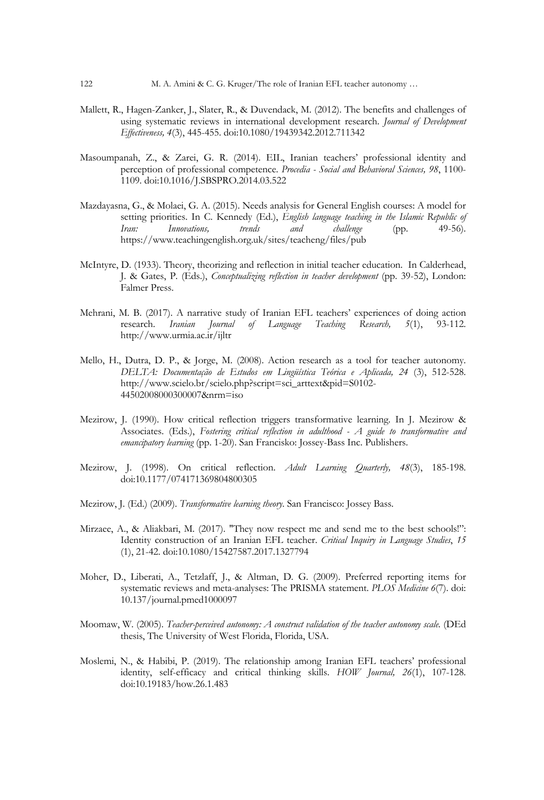- Mallett, R., Hagen-Zanker, J., Slater, R., & Duvendack, M. (2012). The benefits and challenges of using systematic reviews in international development research. *Journal of Development Effectiveness, 4*(3), 445-455. doi:10.1080/19439342.2012.711342
- Masoumpanah, Z., & Zarei, G. R. (2014). EIL, Iranian teachers' professional identity and perception of professional competence. *Procedia - Social and Behavioral Sciences, 98*, 1100- 1109. doi:10.1016/J.SBSPRO.2014.03.522
- Mazdayasna, G., & Molaei, G. A. (2015). Needs analysis for General English courses: A model for setting priorities. In C. Kennedy (Ed.), *English language teaching in the Islamic Republic of Iran: Innovations, trends and challenge* (pp. 49-56). https://www.teachingenglish.org.uk/sites/teacheng/files/pub
- McIntyre, D. (1933). Theory, theorizing and reflection in initial teacher education. In Calderhead, J. & Gates, P. (Eds.), *Conceptualizing reflection in teacher development* (pp. 39-52), London: Falmer Press.
- Mehrani, M. B. (2017). A narrative study of Iranian EFL teachers' experiences of doing action research. *Iranian Journal of Language Teaching Research, 5*(1), 93-112. http://www.urmia.ac.ir/ijltr
- Mello, H., Dutra, D. P., & Jorge, M. (2008). Action research as a tool for teacher autonomy. *DELTA: Documentação de Estudos em Lingüística Teórica e Aplicada, 24* (3), 512-528. http://www.scielo.br/scielo.php?script=sci\_arttext&pid=S0102- 44502008000300007&nrm=iso
- Mezirow, J. (1990). How critical reflection triggers transformative learning. In J. Mezirow & Associates. (Eds.), *Fostering critical reflection in adulthood - A guide to transformative and emancipatory learning* (pp. 1-20). San Francisko: Jossey-Bass Inc. Publishers.
- Mezirow, J. (1998). On critical reflection. *Adult Learning Quarterly, 48*(3), 185-198. doi:10.1177/074171369804800305
- Mezirow, J. (Ed.) (2009). *Transformative learning theory*. San Francisco: Jossey Bass.
- Mirzaee, A., & Aliakbari, M. (2017). "They now respect me and send me to the best schools!": Identity construction of an Iranian EFL teacher. *Critical Inquiry in Language Studies*, *15* (1), 21-42. doi:10.1080/15427587.2017.1327794
- Moher, D., Liberati, A., Tetzlaff, J., & Altman, D. G. (2009). Preferred reporting items for systematic reviews and meta-analyses: The PRISMA statement. *PLOS Medicine 6*(7). doi: 10.137/journal.pmed1000097
- Moomaw, W. (2005). *Teacher-perceived autonomy: A construct validation of the teacher autonomy scale.* (DEd thesis, The University of West Florida, Florida, USA.
- Moslemi, N., & Habibi, P. (2019). The relationship among Iranian EFL teachers' professional identity, self-efficacy and critical thinking skills. *HOW Journal, 26*(1), 107-128. doi:10.19183/how.26.1.483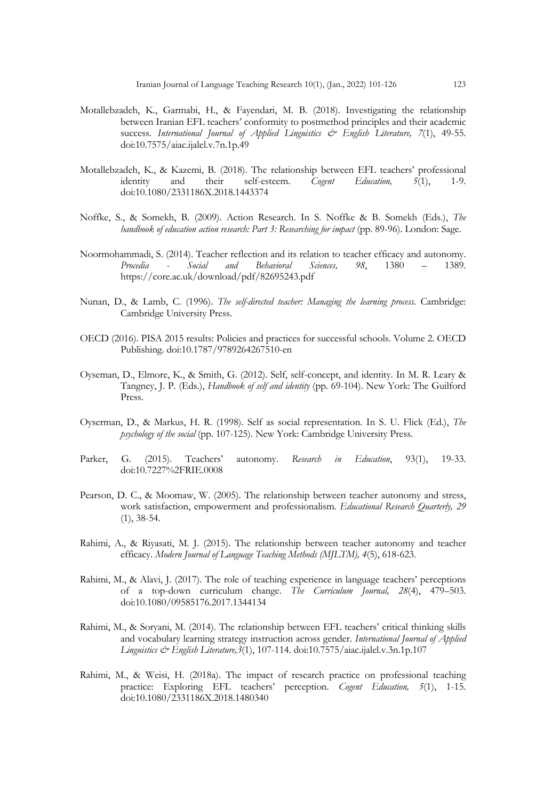- Motallebzadeh, K., Garmabi, H., & Fayendari, M. B. (2018). Investigating the relationship between Iranian EFL teachers' conformity to postmethod principles and their academic success. International Journal of Applied Linguistics & English Literature, 7(1), 49-55. doi:10.7575/aiac.ijalel.v.7n.1p.49
- Motallebzadeh, K., & Kazemi, B. (2018). The relationship between EFL teachers' professional identity and their self-esteem. *Cogent Education, 5*(1), 1-9. doi:10.1080/2331186X.2018.1443374
- Noffke, S., & Somekh, B. (2009). Action Research. In S. Noffke & B. Somekh (Eds.), *The handbook of education action research: Part 3: Researching for impact* (pp. 89-96). London: Sage.
- Noormohammadi, S. (2014). Teacher reflection and its relation to teacher efficacy and autonomy. *Procedia - Social and Behavioral Sciences, 98*, 1380 – 1389. https://core.ac.uk/download/pdf/82695243.pdf
- Nunan, D., & Lamb, C. (1996). *The self-directed teacher: Managing the learning process*. Cambridge: Cambridge University Press.
- OECD (2016). PISA 2015 results: Policies and practices for successful schools. Volume 2. OECD Publishing. doi:10.1787/9789264267510-en
- Oyseman, D., Elmore, K., & Smith, G. (2012). Self, self-concept, and identity. In M. R. Leary & Tangney, J. P. (Eds.), *Handbook of self and identity* (pp. 69-104). New York: The Guilford Press.
- Oyserman, D., & Markus, H. R. (1998). Self as social representation. In S. U. Flick (Ed.), *The psychology of the social* (pp. 107-125). New York: Cambridge University Press.
- Parker, G. (2015). Teachers' autonomy. *Research in Education*, 93(1), 19-33. doi:10.7227%2FRIE.0008
- Pearson, D. C., & Moomaw, W. (2005). The relationship between teacher autonomy and stress, work satisfaction, empowerment and professionalism. *Educational Research Quarterly, 29*  (1), 38-54.
- Rahimi, A., & Riyasati, M. J. (2015). The relationship between teacher autonomy and teacher efficacy. *Modern Journal of Language Teaching Methods (MJLTM), 4*(5), 618-623.
- Rahimi, M., & Alavi, J. (2017). The role of teaching experience in language teachers' perceptions of a top-down curriculum change. *The Curriculum Journal, 28*(4), 479–503. doi:10.1080/09585176.2017.1344134
- Rahimi, M., & Soryani, M. (2014). The relationship between EFL teachers' critical thinking skills and vocabulary learning strategy instruction across gender. *International Journal of Applied Linguistics & English Literature,3*(1), 107-114. doi:10.7575/aiac.ijalel.v.3n.1p.107
- Rahimi, M., & Weisi, H. (2018a). The impact of research practice on professional teaching practice: Exploring EFL teachers' perception. *Cogent Education, 5*(1), 1-15. doi:10.1080/2331186X.2018.1480340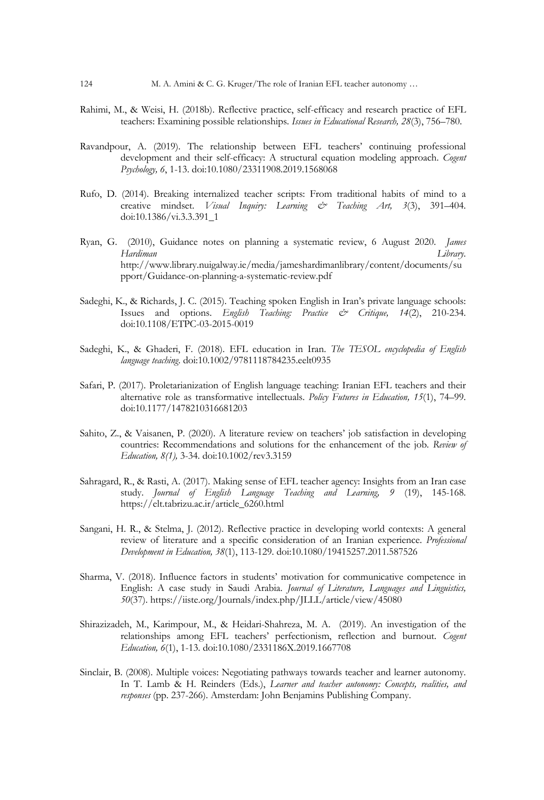- Rahimi, M., & Weisi, H. (2018b). Reflective practice, self-efficacy and research practice of EFL teachers: Examining possible relationships. *Issues in Educational Research, 28*(3), 756–780.
- Ravandpour, A. (2019). The relationship between EFL teachers' continuing professional development and their self-efficacy: A structural equation modeling approach. *Cogent Psychology, 6*, 1-13. doi:10.1080/23311908.2019.1568068
- Rufo, D. (2014). Breaking internalized teacher scripts: From traditional habits of mind to a creative mindset. *Visual Inquiry: Learning & Teaching Art, 3*(3), 391–404. doi:10.1386/vi.3.3.391\_1
- Ryan, G. (2010), Guidance notes on planning a systematic review, 6 August 2020. *James Hardiman Library*. http://www.library.nuigalway.ie/media/jameshardimanlibrary/content/documents/su pport/Guidance-on-planning-a-systematic-review.pdf
- Sadeghi, K., & Richards, J. C. (2015). Teaching spoken English in Iran's private language schools: Issues and options. *English Teaching: Practice & Critique, 14*(2), 210-234. doi:10.1108/ETPC-03-2015-0019
- Sadeghi, K., & Ghaderi, F. (2018). EFL education in Iran. *The TESOL encyclopedia of English language teaching*. doi:10.1002/9781118784235.eelt0935
- Safari, P. (2017). Proletarianization of English language teaching: Iranian EFL teachers and their alternative role as transformative intellectuals. *Policy Futures in Education, 15*(1), 74–99. doi:10.1177/1478210316681203
- Sahito, Z., & Vaisanen, P. (2020). A literature review on teachers' job satisfaction in developing countries: Recommendations and solutions for the enhancement of the job. *Review of Education, 8(1),* 3-34. doi:10.1002/rev3.3159
- Sahragard, R., & Rasti, A. (2017). Making sense of EFL teacher agency: Insights from an Iran case study. *Journal of English Language Teaching and Learning, 9* (19), 145-168. https://elt.tabrizu.ac.ir/article\_6260.html
- Sangani, H. R., & Stelma, J. (2012). Reflective practice in developing world contexts: A general review of literature and a specific consideration of an Iranian experience. *Professional Development in Education, 38*(1), 113-129. doi:10.1080/19415257.2011.587526
- Sharma, V. (2018). Influence factors in students' motivation for communicative competence in English: A case study in Saudi Arabia. *Journal of Literature, Languages and Linguistics, 50*(37). https://iiste.org/Journals/index.php/JLLL/article/view/45080
- Shirazizadeh, M., Karimpour, M., & Heidari-Shahreza, M. A. (2019). An investigation of the relationships among EFL teachers' perfectionism, reflection and burnout. *Cogent Education, 6*(1), 1-13. doi:10.1080/2331186X.2019.1667708
- Sinclair, B. (2008). Multiple voices: Negotiating pathways towards teacher and learner autonomy. In T. Lamb & H. Reinders (Eds.), *Learner and teacher autonomy: Concepts, realities, and responses* (pp. 237-266). Amsterdam: John Benjamins Publishing Company.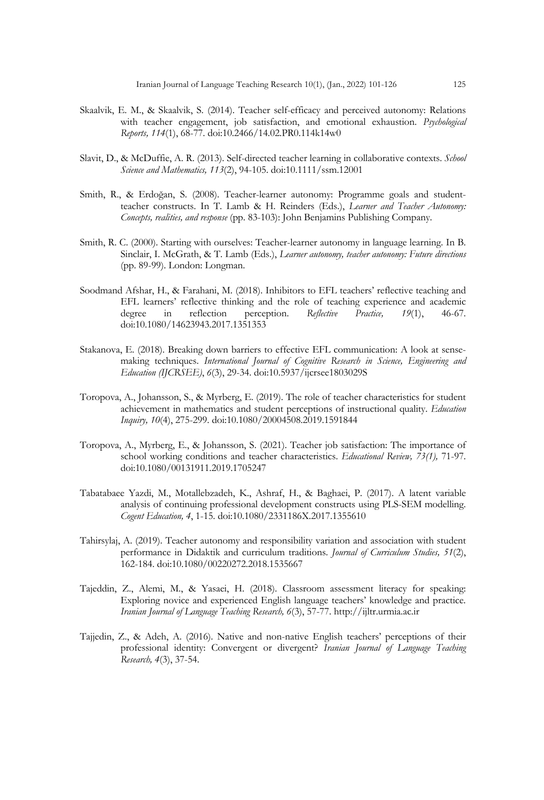- Skaalvik, E. M., & Skaalvik, S. (2014). Teacher self-efficacy and perceived autonomy: Relations with teacher engagement, job satisfaction, and emotional exhaustion. *Psychological Reports, 114*(1), 68-77. doi:10.2466/14.02.PR0.114k14w0
- Slavit, D., & McDuffie, A. R. (2013). Self-directed teacher learning in collaborative contexts. *School Science and Mathematics, 113*(2), 94-105. doi:10.1111/ssm.12001
- Smith, R., & Erdoğan, S. (2008). Teacher-learner autonomy: Programme goals and studentteacher constructs. In T. Lamb & H. Reinders (Eds.), *Learner and Teacher Autonomy: Concepts, realities, and response* (pp. 83-103): John Benjamins Publishing Company.
- Smith, R. C. (2000). Starting with ourselves: Teacher-learner autonomy in language learning. In B. Sinclair, I. McGrath, & T. Lamb (Eds.), *Learner autonomy, teacher autonomy: Future directions* (pp. 89-99). London: Longman.
- Soodmand Afshar, H., & Farahani, M. (2018). Inhibitors to EFL teachers' reflective teaching and EFL learners' reflective thinking and the role of teaching experience and academic degree in reflection perception. *Reflective Practice, 19*(1), 46-67. doi:10.1080/14623943.2017.1351353
- Stakanova, E. (2018). Breaking down barriers to effective EFL communication: A look at sensemaking techniques. *International Journal of Cognitive Research in Science, Engineering and Education (IJCRSEE)*, *6*(3), 29-34. doi:10.5937/ijcrsee1803029S
- Toropova, A., Johansson, S., & Myrberg, E. (2019). The role of teacher characteristics for student achievement in mathematics and student perceptions of instructional quality. *Education Inquiry, 10*(4), 275-299. doi:10.1080/20004508.2019.1591844
- Toropova, A., Myrberg, E., & Johansson, S. (2021). Teacher job satisfaction: The importance of school working conditions and teacher characteristics. *Educational Review, 73(1),* 71-97. doi:10.1080/00131911.2019.1705247
- Tabatabaee Yazdi, M., Motallebzadeh, K., Ashraf, H., & Baghaei, P. (2017). A latent variable analysis of continuing professional development constructs using PLS-SEM modelling. *Cogent Education, 4*, 1-15. doi:10.1080/2331186X.2017.1355610
- Tahirsylaj, A. (2019). Teacher autonomy and responsibility variation and association with student performance in Didaktik and curriculum traditions. *Journal of Curriculum Studies, 51*(2), 162-184. doi:10.1080/00220272.2018.1535667
- Tajeddin, Z., Alemi, M., & Yasaei, H. (2018). Classroom assessment literacy for speaking: Exploring novice and experienced English language teachers' knowledge and practice. *Iranian Journal of Language Teaching Research, 6*(3), 57-77. http://ijltr.urmia.ac.ir
- Tajjedin, Z., & Adeh, A. (2016). Native and non-native English teachers' perceptions of their professional identity: Convergent or divergent? *Iranian Journal of Language Teaching Research, 4*(3), 37-54.